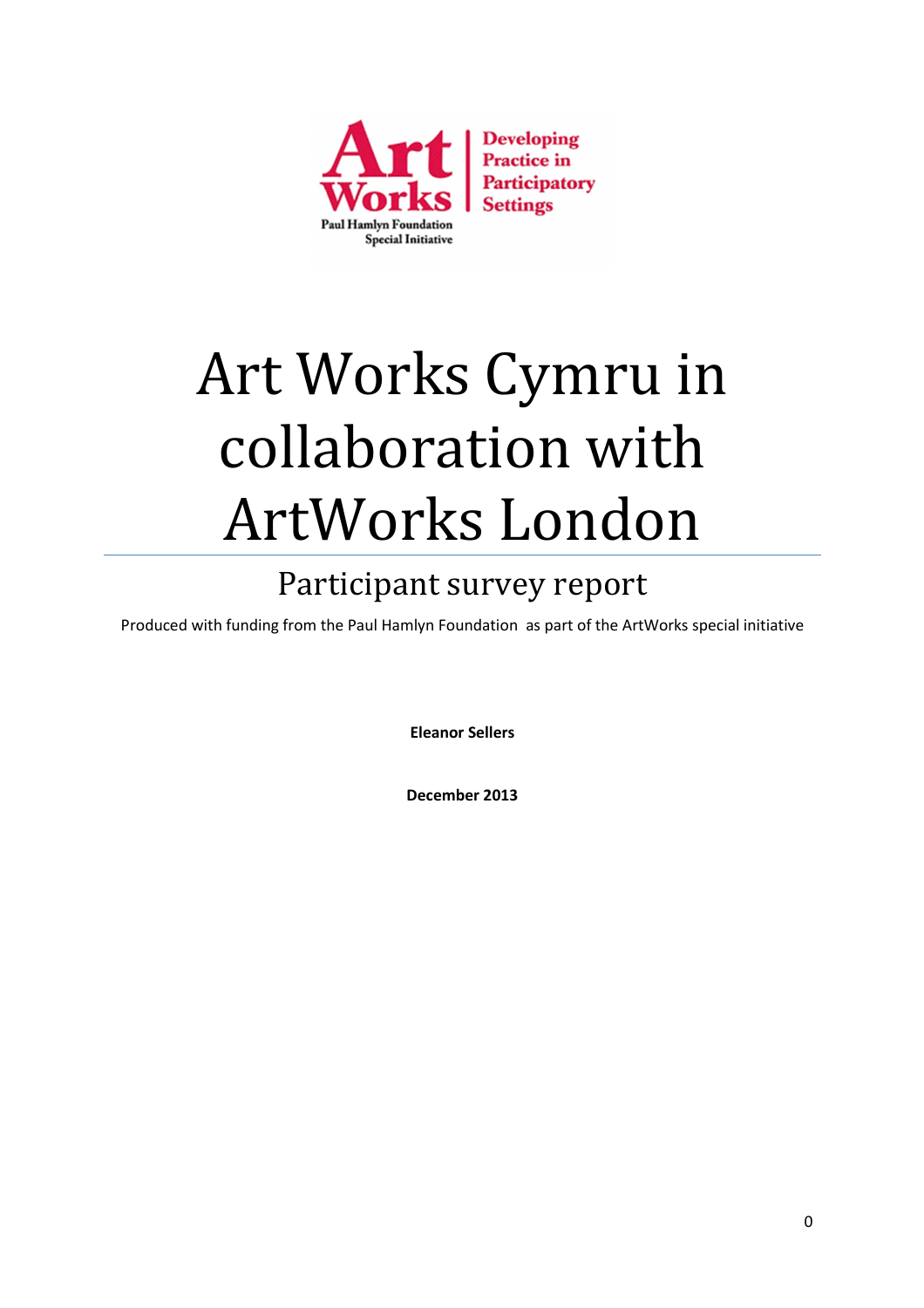

# Art Works Cymru in collaboration with ArtWorks London

# Participant survey report

Produced with funding from the Paul Hamlyn Foundation as part of the ArtWorks special initiative

**Eleanor Sellers** 

**December 2013**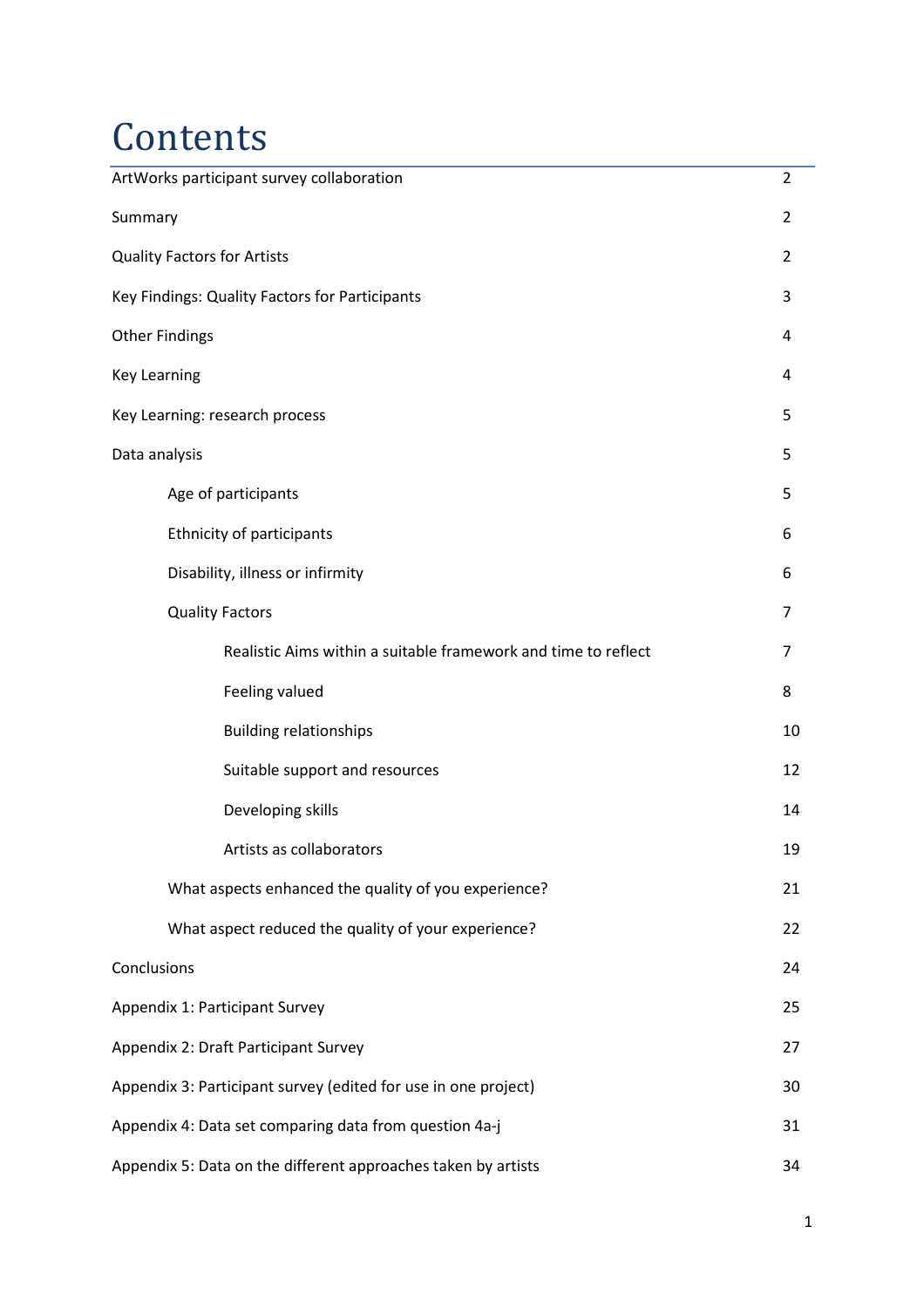# **Contents**

| ArtWorks participant survey collaboration                      | $\overline{2}$ |
|----------------------------------------------------------------|----------------|
| Summary                                                        | $\overline{2}$ |
| <b>Quality Factors for Artists</b>                             | $\overline{2}$ |
| Key Findings: Quality Factors for Participants                 | 3              |
| <b>Other Findings</b>                                          | 4              |
| <b>Key Learning</b>                                            | 4              |
| Key Learning: research process                                 | 5              |
| Data analysis                                                  | 5              |
| Age of participants                                            | 5              |
| Ethnicity of participants                                      | 6              |
| Disability, illness or infirmity                               | 6              |
| <b>Quality Factors</b>                                         | 7              |
| Realistic Aims within a suitable framework and time to reflect | 7              |
| Feeling valued                                                 | 8              |
| <b>Building relationships</b>                                  | 10             |
| Suitable support and resources                                 | 12             |
| Developing skills                                              | 14             |
| Artists as collaborators                                       | 19             |
| What aspects enhanced the quality of you experience?           | 21             |
| What aspect reduced the quality of your experience?            | 22             |
| Conclusions                                                    | 24             |
| Appendix 1: Participant Survey                                 | 25             |
| Appendix 2: Draft Participant Survey                           | 27             |
| Appendix 3: Participant survey (edited for use in one project) | 30             |
| Appendix 4: Data set comparing data from question 4a-j         | 31             |
| Appendix 5: Data on the different approaches taken by artists  | 34             |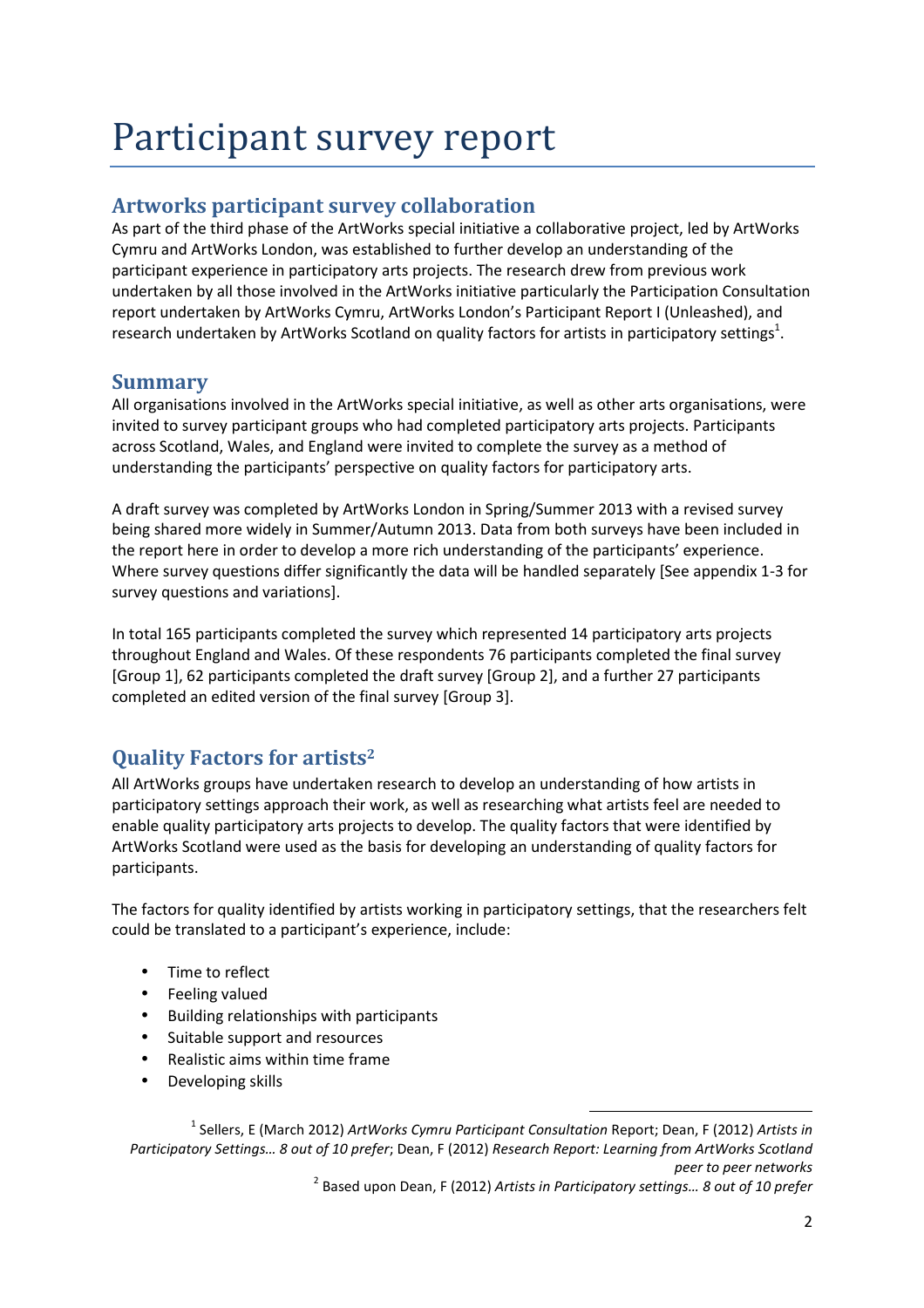# Participant survey report

### **Artworks participant survey collaboration**

As part of the third phase of the ArtWorks special initiative a collaborative project, led by ArtWorks Cymru and ArtWorks London, was established to further develop an understanding of the participant experience in participatory arts projects. The research drew from previous work undertaken by all those involved in the ArtWorks initiative particularly the Participation Consultation report undertaken by ArtWorks Cymru, ArtWorks London's Participant Report I (Unleashed), and research undertaken by ArtWorks Scotland on quality factors for artists in participatory settings<sup>1</sup>.

### **Summary**

All organisations involved in the ArtWorks special initiative, as well as other arts organisations, were invited to survey participant groups who had completed participatory arts projects. Participants across Scotland, Wales, and England were invited to complete the survey as a method of understanding the participants' perspective on quality factors for participatory arts.

A draft survey was completed by ArtWorks London in Spring/Summer 2013 with a revised survey being shared more widely in Summer/Autumn 2013. Data from both surveys have been included in the report here in order to develop a more rich understanding of the participants' experience. Where survey questions differ significantly the data will be handled separately [See appendix 1-3 for survey questions and variations].

In total 165 participants completed the survey which represented 14 participatory arts projects throughout England and Wales. Of these respondents 76 participants completed the final survey [Group 1], 62 participants completed the draft survey [Group 2], and a further 27 participants completed an edited version of the final survey [Group 3].

## **Quality Factors for artists<sup>2</sup>**

All ArtWorks groups have undertaken research to develop an understanding of how artists in participatory settings approach their work, as well as researching what artists feel are needed to enable quality participatory arts projects to develop. The quality factors that were identified by ArtWorks Scotland were used as the basis for developing an understanding of quality factors for participants.

The factors for quality identified by artists working in participatory settings, that the researchers felt could be translated to a participant's experience, include:

- Time to reflect
- Feeling valued
- Building relationships with participants
- Suitable support and resources
- Realistic aims within time frame
- Developing skills

<sup>1</sup> Sellers, E (March 2012) *ArtWorks Cymru Participant Consultation* Report; Dean, F (2012) *Artists in Participatory Settings… 8 out of 10 prefer*; Dean, F (2012) *Research Report: Learning from ArtWorks Scotland peer to peer networks* 

<sup>2</sup> Based upon Dean, F (2012) *Artists in Participatory settings… 8 out of 10 prefer*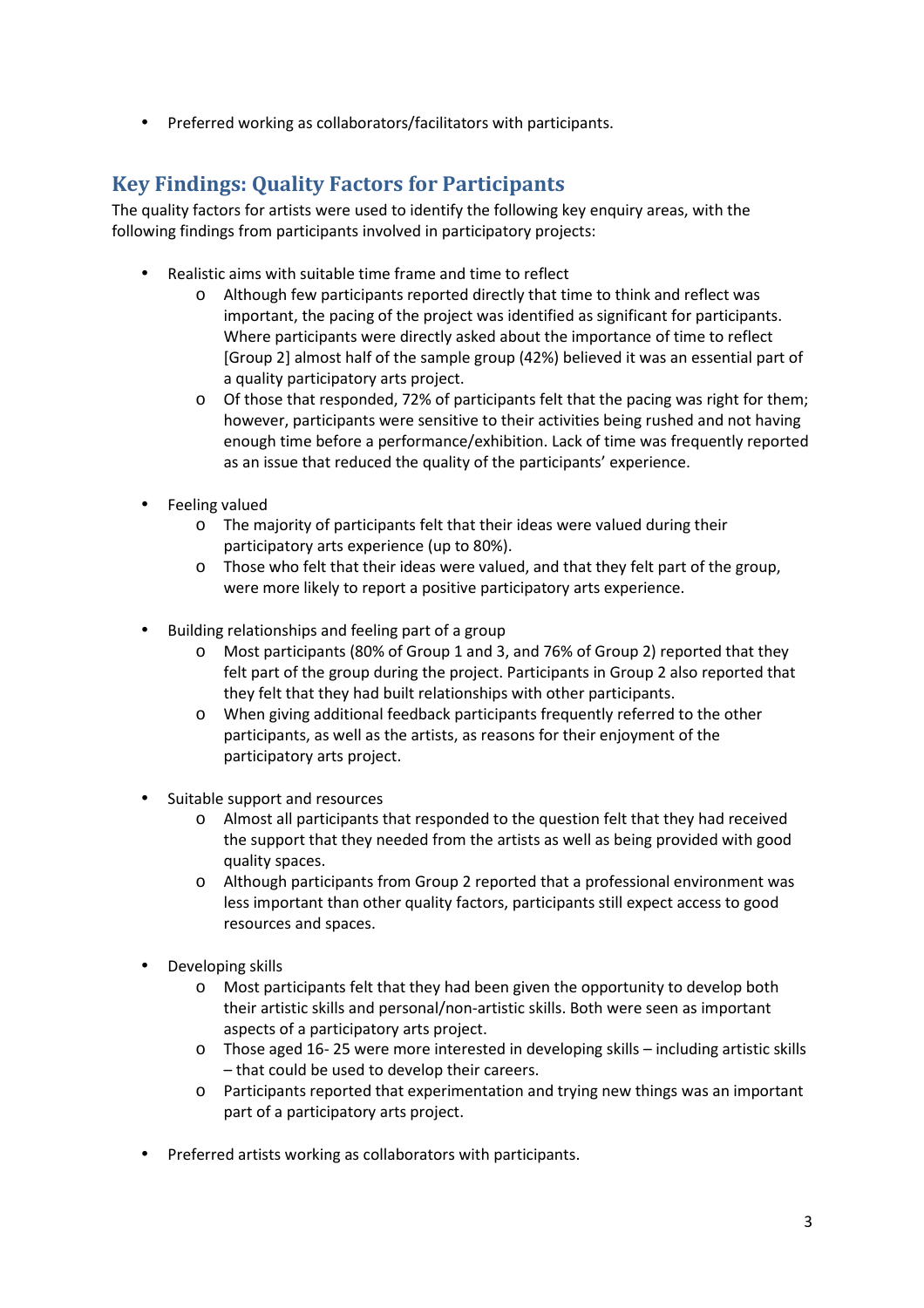• Preferred working as collaborators/facilitators with participants.

## **Key Findings: Quality Factors for Participants**

The quality factors for artists were used to identify the following key enquiry areas, with the following findings from participants involved in participatory projects:

- Realistic aims with suitable time frame and time to reflect
	- o Although few participants reported directly that time to think and reflect was important, the pacing of the project was identified as significant for participants. Where participants were directly asked about the importance of time to reflect [Group 2] almost half of the sample group (42%) believed it was an essential part of a quality participatory arts project.
	- o Of those that responded, 72% of participants felt that the pacing was right for them; however, participants were sensitive to their activities being rushed and not having enough time before a performance/exhibition. Lack of time was frequently reported as an issue that reduced the quality of the participants' experience.
- Feeling valued
	- o The majority of participants felt that their ideas were valued during their participatory arts experience (up to 80%).
	- o Those who felt that their ideas were valued, and that they felt part of the group, were more likely to report a positive participatory arts experience.
- Building relationships and feeling part of a group
	- o Most participants (80% of Group 1 and 3, and 76% of Group 2) reported that they felt part of the group during the project. Participants in Group 2 also reported that they felt that they had built relationships with other participants.
	- o When giving additional feedback participants frequently referred to the other participants, as well as the artists, as reasons for their enjoyment of the participatory arts project.
- Suitable support and resources
	- o Almost all participants that responded to the question felt that they had received the support that they needed from the artists as well as being provided with good quality spaces.
	- o Although participants from Group 2 reported that a professional environment was less important than other quality factors, participants still expect access to good resources and spaces.
- Developing skills
	- o Most participants felt that they had been given the opportunity to develop both their artistic skills and personal/non-artistic skills. Both were seen as important aspects of a participatory arts project.
	- o Those aged 16- 25 were more interested in developing skills including artistic skills – that could be used to develop their careers.
	- o Participants reported that experimentation and trying new things was an important part of a participatory arts project.
- Preferred artists working as collaborators with participants.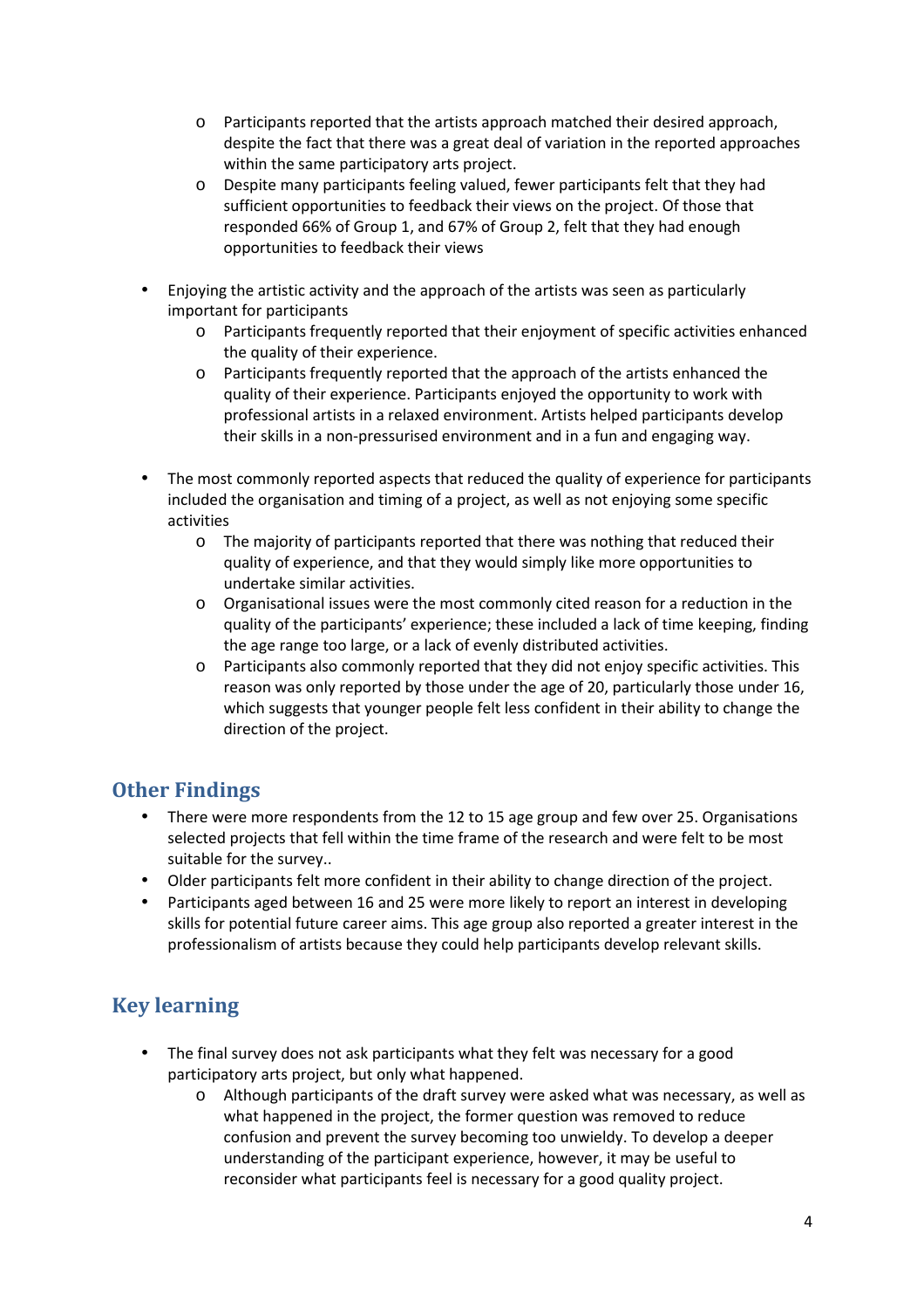- o Participants reported that the artists approach matched their desired approach, despite the fact that there was a great deal of variation in the reported approaches within the same participatory arts project.
- o Despite many participants feeling valued, fewer participants felt that they had sufficient opportunities to feedback their views on the project. Of those that responded 66% of Group 1, and 67% of Group 2, felt that they had enough opportunities to feedback their views
- Enjoying the artistic activity and the approach of the artists was seen as particularly important for participants
	- o Participants frequently reported that their enjoyment of specific activities enhanced the quality of their experience.
	- o Participants frequently reported that the approach of the artists enhanced the quality of their experience. Participants enjoyed the opportunity to work with professional artists in a relaxed environment. Artists helped participants develop their skills in a non-pressurised environment and in a fun and engaging way.
- The most commonly reported aspects that reduced the quality of experience for participants included the organisation and timing of a project, as well as not enjoying some specific activities
	- o The majority of participants reported that there was nothing that reduced their quality of experience, and that they would simply like more opportunities to undertake similar activities.
	- o Organisational issues were the most commonly cited reason for a reduction in the quality of the participants' experience; these included a lack of time keeping, finding the age range too large, or a lack of evenly distributed activities.
	- o Participants also commonly reported that they did not enjoy specific activities. This reason was only reported by those under the age of 20, particularly those under 16, which suggests that younger people felt less confident in their ability to change the direction of the project.

### **Other Findings**

- There were more respondents from the 12 to 15 age group and few over 25. Organisations selected projects that fell within the time frame of the research and were felt to be most suitable for the survey..
- Older participants felt more confident in their ability to change direction of the project.
- Participants aged between 16 and 25 were more likely to report an interest in developing skills for potential future career aims. This age group also reported a greater interest in the professionalism of artists because they could help participants develop relevant skills.

# **Key learning**

- The final survey does not ask participants what they felt was necessary for a good participatory arts project, but only what happened.
	- o Although participants of the draft survey were asked what was necessary, as well as what happened in the project, the former question was removed to reduce confusion and prevent the survey becoming too unwieldy. To develop a deeper understanding of the participant experience, however, it may be useful to reconsider what participants feel is necessary for a good quality project.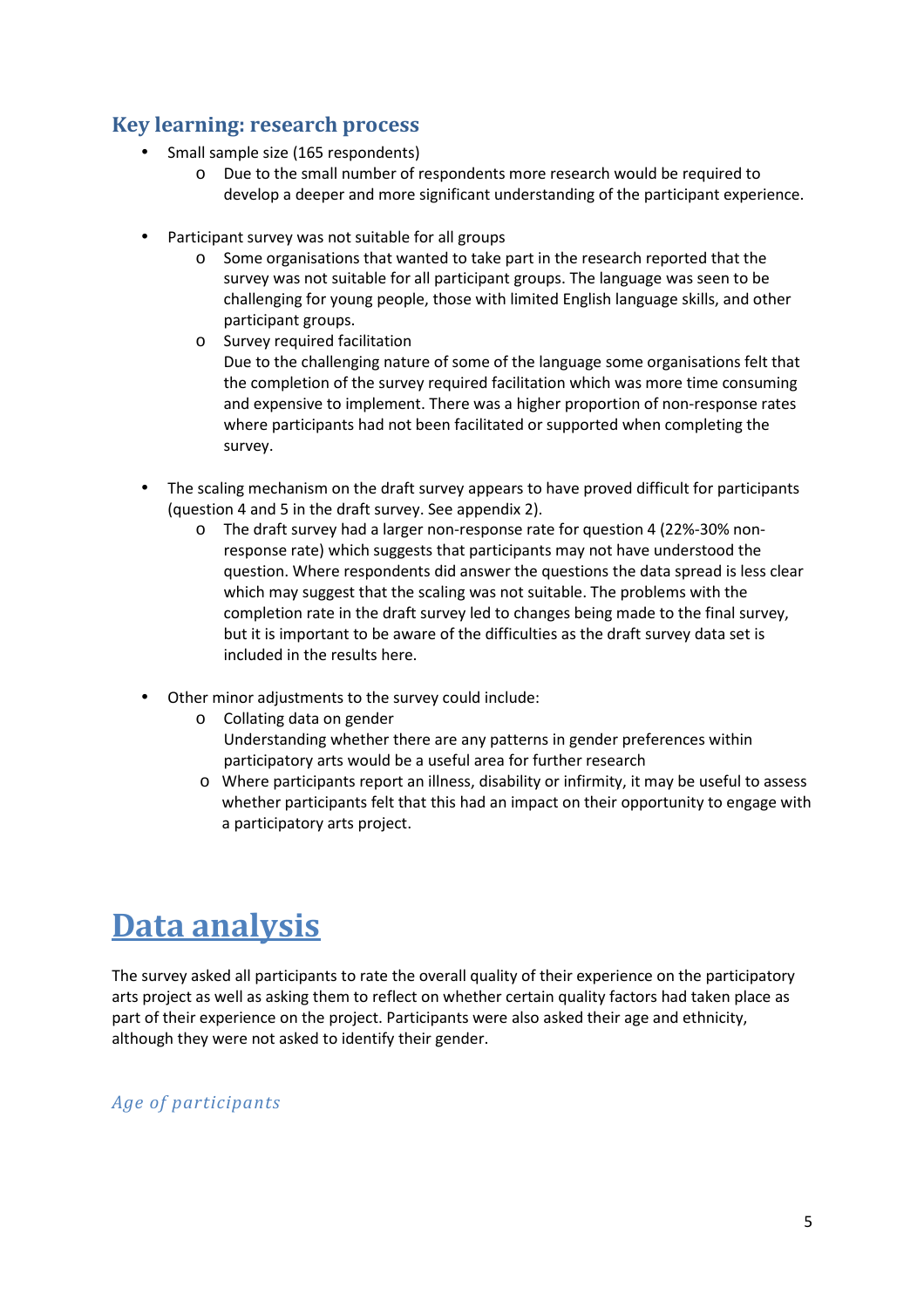### **Key learning: research process**

- Small sample size (165 respondents)
	- o Due to the small number of respondents more research would be required to develop a deeper and more significant understanding of the participant experience.
- Participant survey was not suitable for all groups
	- o Some organisations that wanted to take part in the research reported that the survey was not suitable for all participant groups. The language was seen to be challenging for young people, those with limited English language skills, and other participant groups.
	- o Survey required facilitation Due to the challenging nature of some of the language some organisations felt that the completion of the survey required facilitation which was more time consuming and expensive to implement. There was a higher proportion of non-response rates where participants had not been facilitated or supported when completing the survey.
- The scaling mechanism on the draft survey appears to have proved difficult for participants (question 4 and 5 in the draft survey. See appendix 2).
	- o The draft survey had a larger non-response rate for question 4 (22%-30% nonresponse rate) which suggests that participants may not have understood the question. Where respondents did answer the questions the data spread is less clear which may suggest that the scaling was not suitable. The problems with the completion rate in the draft survey led to changes being made to the final survey, but it is important to be aware of the difficulties as the draft survey data set is included in the results here.
- Other minor adjustments to the survey could include:
	- o Collating data on gender Understanding whether there are any patterns in gender preferences within participatory arts would be a useful area for further research
	- o Where participants report an illness, disability or infirmity, it may be useful to assess whether participants felt that this had an impact on their opportunity to engage with a participatory arts project.

# **Data analysis**

The survey asked all participants to rate the overall quality of their experience on the participatory arts project as well as asking them to reflect on whether certain quality factors had taken place as part of their experience on the project. Participants were also asked their age and ethnicity, although they were not asked to identify their gender.

#### *Age of participants*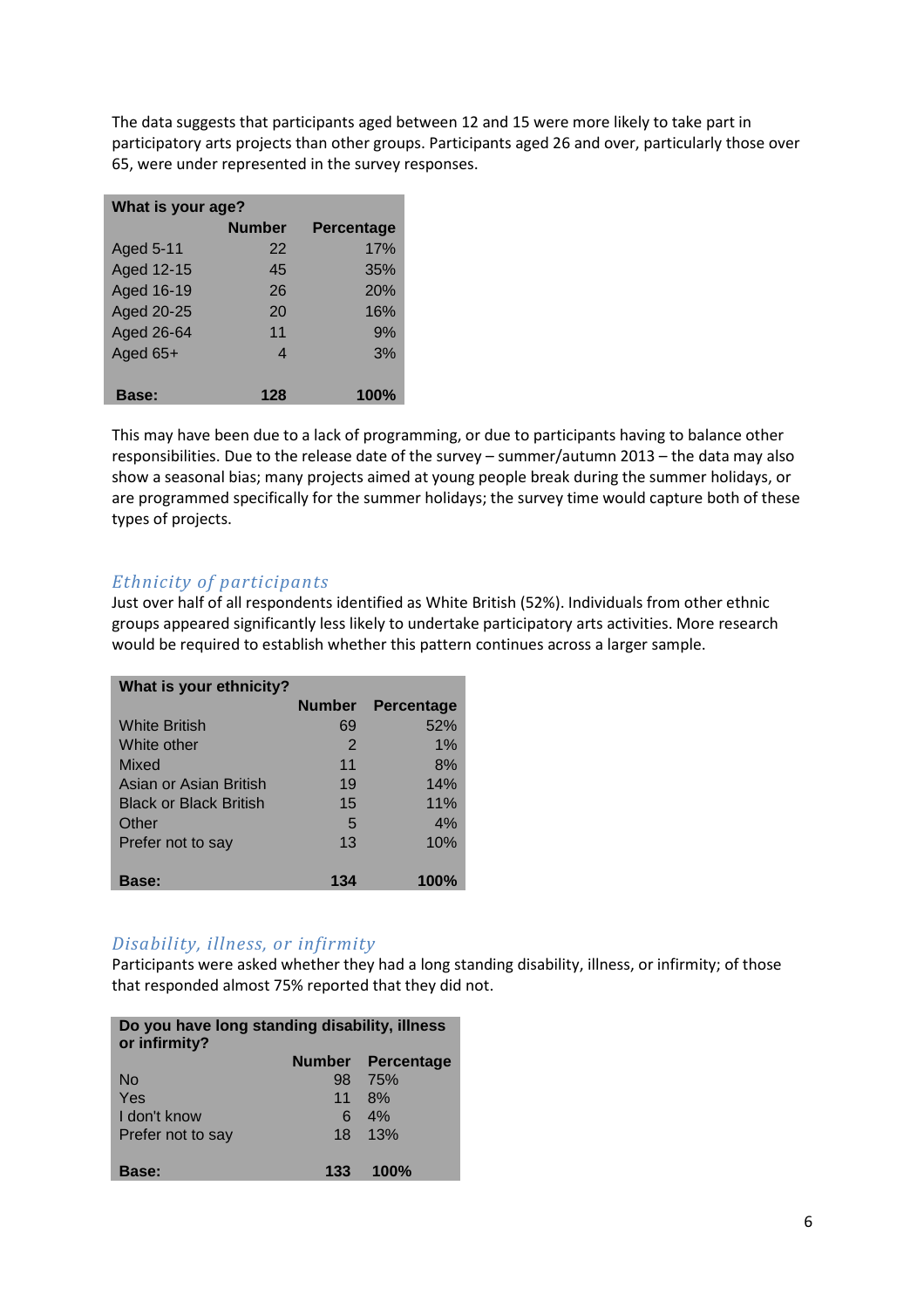The data suggests that participants aged between 12 and 15 were more likely to take part in participatory arts projects than other groups. Participants aged 26 and over, particularly those over 65, were under represented in the survey responses.

| What is your age? |               |                   |  |
|-------------------|---------------|-------------------|--|
|                   | <b>Number</b> | <b>Percentage</b> |  |
| Aged 5-11         | 22            | 17%               |  |
| Aged 12-15        | 45            | 35%               |  |
| Aged 16-19        | 26            | 20%               |  |
| Aged 20-25        | 20            | 16%               |  |
| Aged 26-64        | 11            | 9%                |  |
| Aged 65+          | 4             | 3%                |  |
| <b>Base:</b>      | 128           | 100%              |  |

This may have been due to a lack of programming, or due to participants having to balance other responsibilities. Due to the release date of the survey – summer/autumn 2013 – the data may also show a seasonal bias; many projects aimed at young people break during the summer holidays, or are programmed specifically for the summer holidays; the survey time would capture both of these types of projects.

#### *Ethnicity of participants*

Just over half of all respondents identified as White British (52%). Individuals from other ethnic groups appeared significantly less likely to undertake participatory arts activities. More research would be required to establish whether this pattern continues across a larger sample.

| What is your ethnicity?       |               |                   |
|-------------------------------|---------------|-------------------|
|                               | <b>Number</b> | <b>Percentage</b> |
| <b>White British</b>          | 69            | 52%               |
| White other                   | $\mathcal{P}$ | 1%                |
| Mixed                         | 11            | 8%                |
| Asian or Asian British        | 19            | 14%               |
| <b>Black or Black British</b> | 15            | 11%               |
| Other                         | 5             | 4%                |
| Prefer not to say             | 13            | 10%               |
|                               |               |                   |
| Base:                         | 134           | 100%              |

#### *Disability, illness, or infirmity*

Participants were asked whether they had a long standing disability, illness, or infirmity; of those that responded almost 75% reported that they did not.

| Do you have long standing disability, illness<br>or infirmity? |     |                   |
|----------------------------------------------------------------|-----|-------------------|
|                                                                |     | Number Percentage |
| No                                                             | 98  | 75%               |
| Yes                                                            | 11  | 8%                |
| I don't know                                                   | 6   | 4%                |
| Prefer not to say                                              | 18  | 13%               |
| Base:                                                          | 133 | 100%              |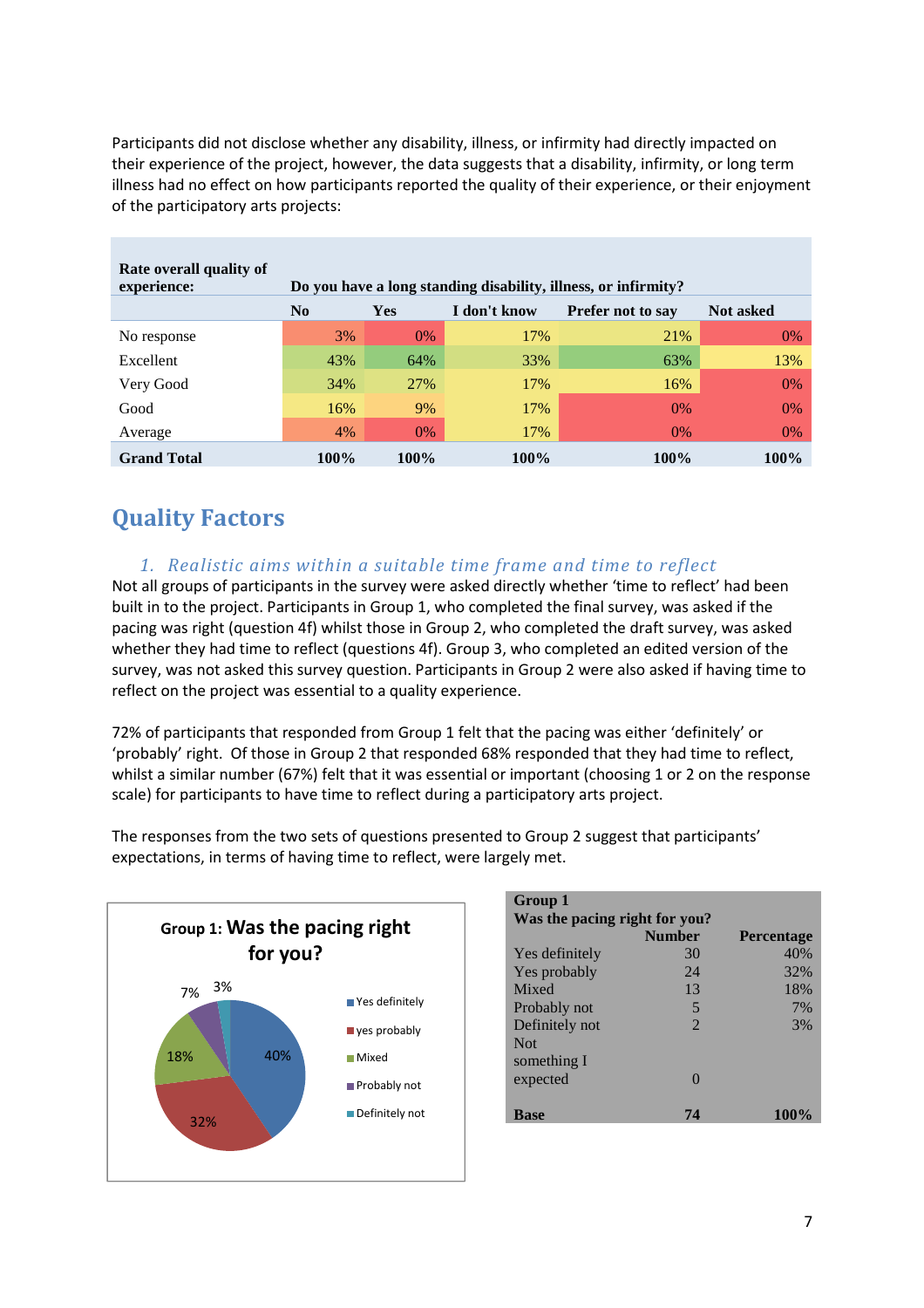Participants did not disclose whether any disability, illness, or infirmity had directly impacted on their experience of the project, however, the data suggests that a disability, infirmity, or long term illness had no effect on how participants reported the quality of their experience, or their enjoyment of the participatory arts projects:

| Rate overall quality of<br>experience: | Do you have a long standing disability, illness, or infirmity? |       |              |                          |                  |
|----------------------------------------|----------------------------------------------------------------|-------|--------------|--------------------------|------------------|
|                                        | N <sub>0</sub>                                                 | Yes   | I don't know | <b>Prefer not to say</b> | <b>Not asked</b> |
| No response                            | 3%                                                             | $0\%$ | 17%          | 21%                      | 0%               |
| Excellent                              | 43%                                                            | 64%   | 33%          | 63%                      | 13%              |
| Very Good                              | 34%                                                            | 27%   | 17%          | 16%                      | 0%               |
| Good                                   | 16%                                                            | 9%    | 17%          | $0\%$                    | 0%               |
| Average                                | 4%                                                             | $0\%$ | 17%          | $0\%$                    | $0\%$            |
| <b>Grand Total</b>                     | 100%                                                           | 100%  | 100%         | <b>100%</b>              | 100%             |

# **Quality Factors**

#### *1. Realistic aims within a suitable time frame and time to reflect*

Not all groups of participants in the survey were asked directly whether 'time to reflect' had been built in to the project. Participants in Group 1, who completed the final survey, was asked if the pacing was right (question 4f) whilst those in Group 2, who completed the draft survey, was asked whether they had time to reflect (questions 4f). Group 3, who completed an edited version of the survey, was not asked this survey question. Participants in Group 2 were also asked if having time to reflect on the project was essential to a quality experience.

72% of participants that responded from Group 1 felt that the pacing was either 'definitely' or 'probably' right. Of those in Group 2 that responded 68% responded that they had time to reflect, whilst a similar number (67%) felt that it was essential or important (choosing 1 or 2 on the response scale) for participants to have time to reflect during a participatory arts project.



| Group 1        |                               |                   |  |  |
|----------------|-------------------------------|-------------------|--|--|
|                | Was the pacing right for you? |                   |  |  |
|                | <b>Number</b>                 | <b>Percentage</b> |  |  |
| Yes definitely | 30                            | 40%               |  |  |
| Yes probably   | 24                            | 32%               |  |  |
| Mixed          | 13                            | 18%               |  |  |
| Probably not   | 5                             | 7%                |  |  |
| Definitely not | $\mathcal{D}_{\mathcal{L}}$   | 3%                |  |  |
| <b>Not</b>     |                               |                   |  |  |
| something I    |                               |                   |  |  |
| expected       |                               |                   |  |  |
|                |                               |                   |  |  |
| <b>Base</b>    | 74                            | 100%              |  |  |
|                |                               |                   |  |  |

The responses from the two sets of questions presented to Group 2 suggest that participants' expectations, in terms of having time to reflect, were largely met.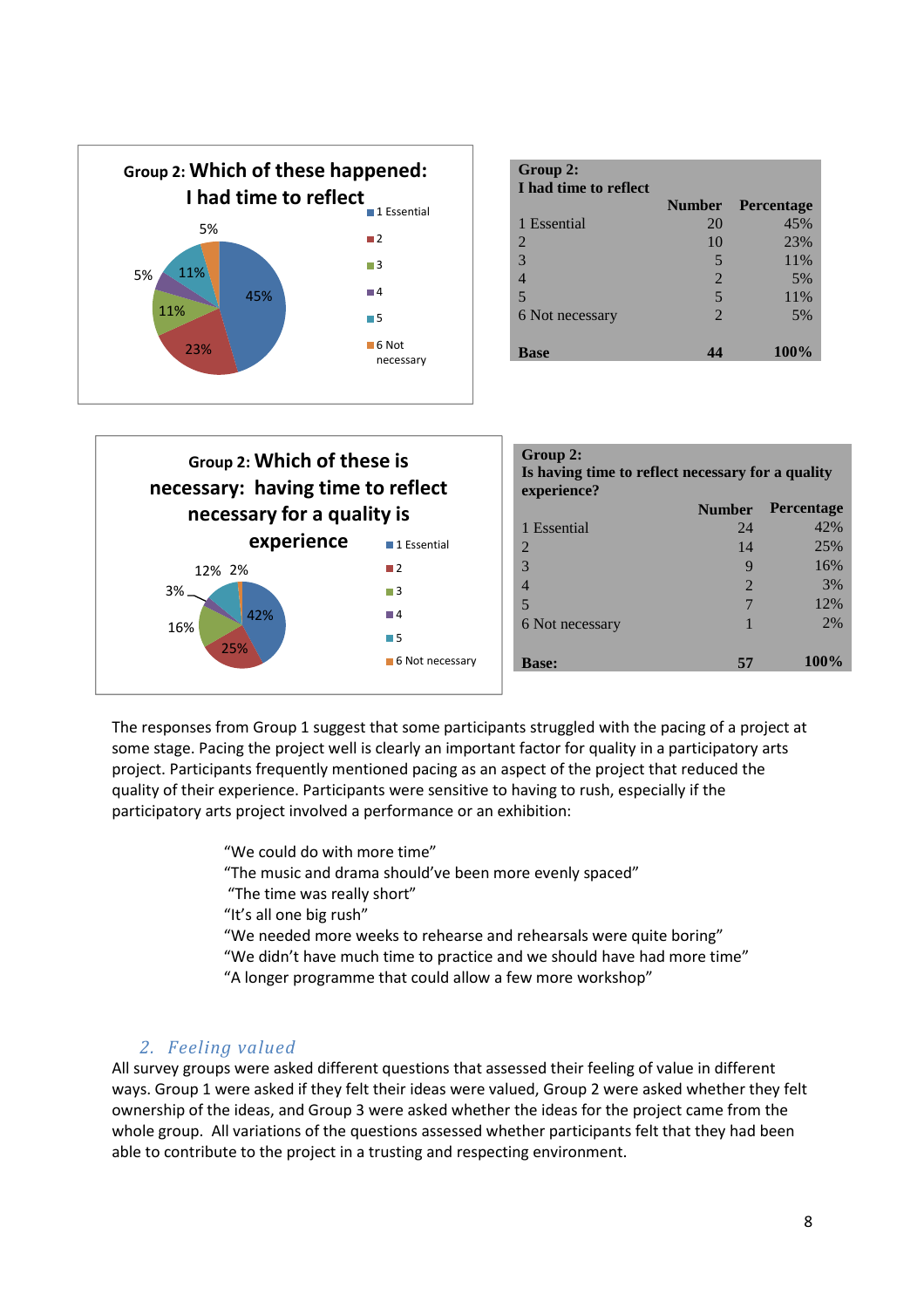

| Group 2:<br>I had time to reflect |                             |                   |
|-----------------------------------|-----------------------------|-------------------|
|                                   | <b>Number</b>               | <b>Percentage</b> |
| 1 Essential                       | 20                          | 45%               |
| 2                                 | 10                          | 23%               |
| 3                                 | 5                           | 11%               |
|                                   | $\overline{2}$              | 5%                |
| 5                                 | 5                           | 11%               |
| 6 Not necessary                   | $\mathcal{D}_{\mathcal{L}}$ | 5%                |
|                                   |                             |                   |
| <b>Base</b>                       |                             | 100%              |



| Group 2:<br>Is having time to reflect necessary for a quality<br>experience? |                |                   |  |
|------------------------------------------------------------------------------|----------------|-------------------|--|
|                                                                              | <b>Number</b>  | <b>Percentage</b> |  |
| 1 Essential                                                                  | 24             | 42%               |  |
| $\mathcal{D}_{\mathcal{L}}$                                                  | 14             | 25%               |  |
| 3                                                                            | q              | 16%               |  |
| 4                                                                            | $\mathfrak{D}$ | 3%                |  |
| 5                                                                            | 7              | 12%               |  |
| 6 Not necessary                                                              |                | 2%                |  |
|                                                                              |                |                   |  |
| <b>Base:</b>                                                                 | 57             | 100%              |  |
|                                                                              |                |                   |  |

The responses from Group 1 suggest that some participants struggled with the pacing of a project at some stage. Pacing the project well is clearly an important factor for quality in a participatory arts project. Participants frequently mentioned pacing as an aspect of the project that reduced the quality of their experience. Participants were sensitive to having to rush, especially if the participatory arts project involved a performance or an exhibition:

"We could do with more time"

"The music and drama should've been more evenly spaced"

"The time was really short"

"It's all one big rush"

"We needed more weeks to rehearse and rehearsals were quite boring"

- "We didn't have much time to practice and we should have had more time"
- "A longer programme that could allow a few more workshop"

#### *2. Feeling valued*

All survey groups were asked different questions that assessed their feeling of value in different ways. Group 1 were asked if they felt their ideas were valued, Group 2 were asked whether they felt ownership of the ideas, and Group 3 were asked whether the ideas for the project came from the whole group. All variations of the questions assessed whether participants felt that they had been able to contribute to the project in a trusting and respecting environment.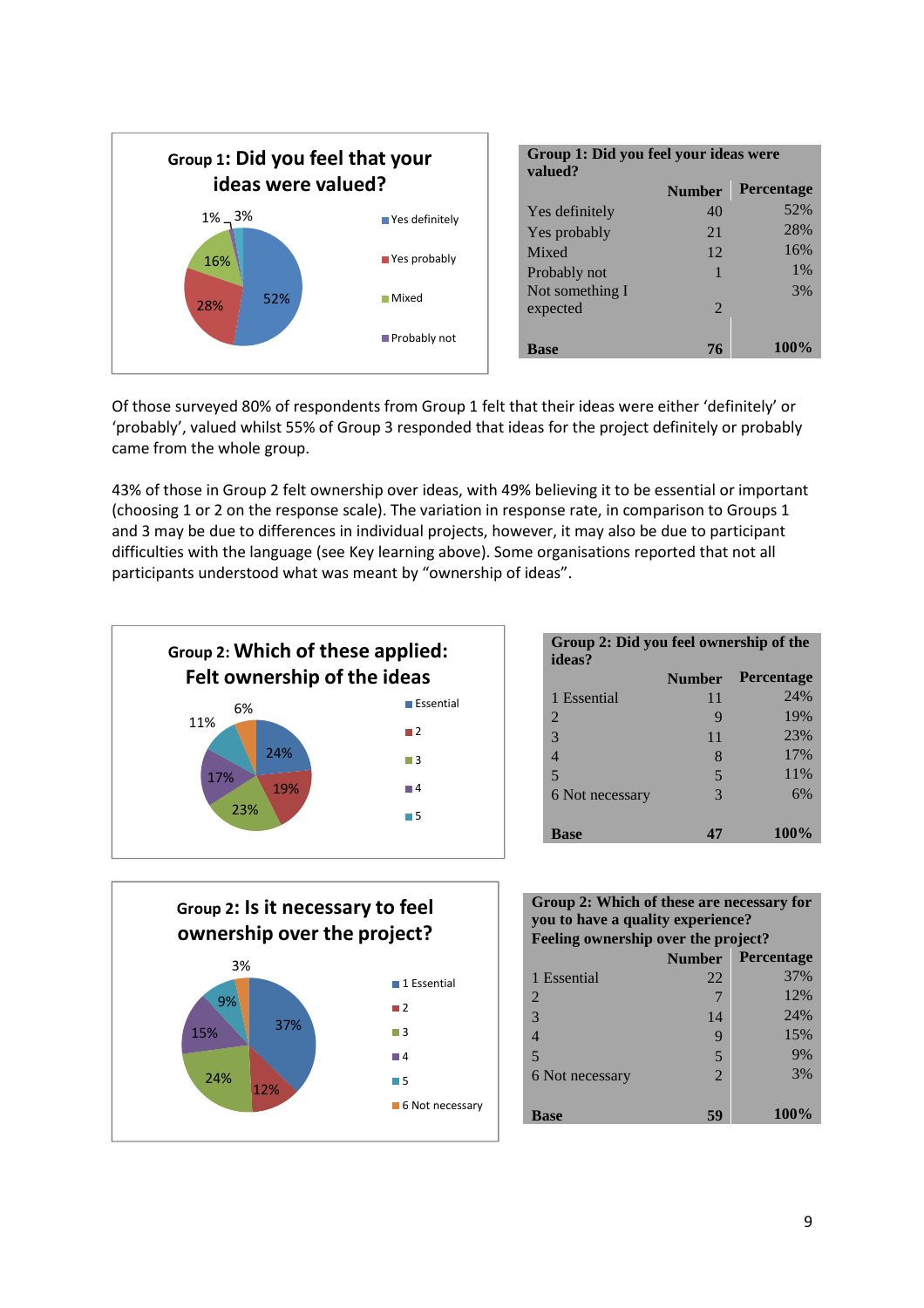

| Group 1: Did you feel your ideas were<br>valued? |                       |                   |
|--------------------------------------------------|-----------------------|-------------------|
|                                                  | <b>Number</b>         | <b>Percentage</b> |
| Yes definitely                                   | 40                    | 52%               |
| Yes probably                                     | 21                    | 28%               |
| Mixed                                            | 12                    | 16%               |
| Probably not                                     | 1                     | $1\%$             |
| Not something I                                  |                       | 3%                |
| expected                                         | $\mathcal{D}_{\cdot}$ |                   |
|                                                  |                       |                   |
| <b>Base</b>                                      | 76                    | <b>100%</b>       |

Of those surveyed 80% of respondents from Group 1 felt that their ideas were either 'definitely' or 'probably', valued whilst 55% of Group 3 responded that ideas for the project definitely or probably came from the whole group.

43% of those in Group 2 felt ownership over ideas, with 49% believing it to be essential or important (choosing 1 or 2 on the response scale). The variation in response rate, in comparison to Groups 1 and 3 may be due to differences in individual projects, however, it may also be due to participant difficulties with the language (see Key learning above). Some organisations reported that not all participants understood what was meant by "ownership of ideas".



| Group 2: Did you feel ownership of the<br>ideas? |               |                   |
|--------------------------------------------------|---------------|-------------------|
|                                                  | <b>Number</b> | <b>Percentage</b> |
| 1 Essential                                      | 11            | 24%               |
| 2                                                | 9             | 19%               |
| 3                                                | 11            | 23%               |
| 4                                                | 8             | 17%               |
| 5                                                | 5             | 11%               |
| 6 Not necessary                                  | $\mathcal{R}$ | 6%                |
|                                                  |               |                   |
| <b>Base</b>                                      | 47            | 100%              |



#### **Group 2: Which of these are necessary for you to have a quality experience? Feeling ownership over the project?**

|                 | <b>Number</b>  | <b>Percentage</b> |
|-----------------|----------------|-------------------|
| 1 Essential     | 22             | 37%               |
| 2               | 7              | 12%               |
| 3               | 14             | 24%               |
|                 | 9              | 15%               |
| 5               | 5              | 9%                |
| 6 Not necessary | $\mathfrak{D}$ | 3%                |
|                 |                |                   |
| <b>Base</b>     | 59             | 100%              |
|                 |                |                   |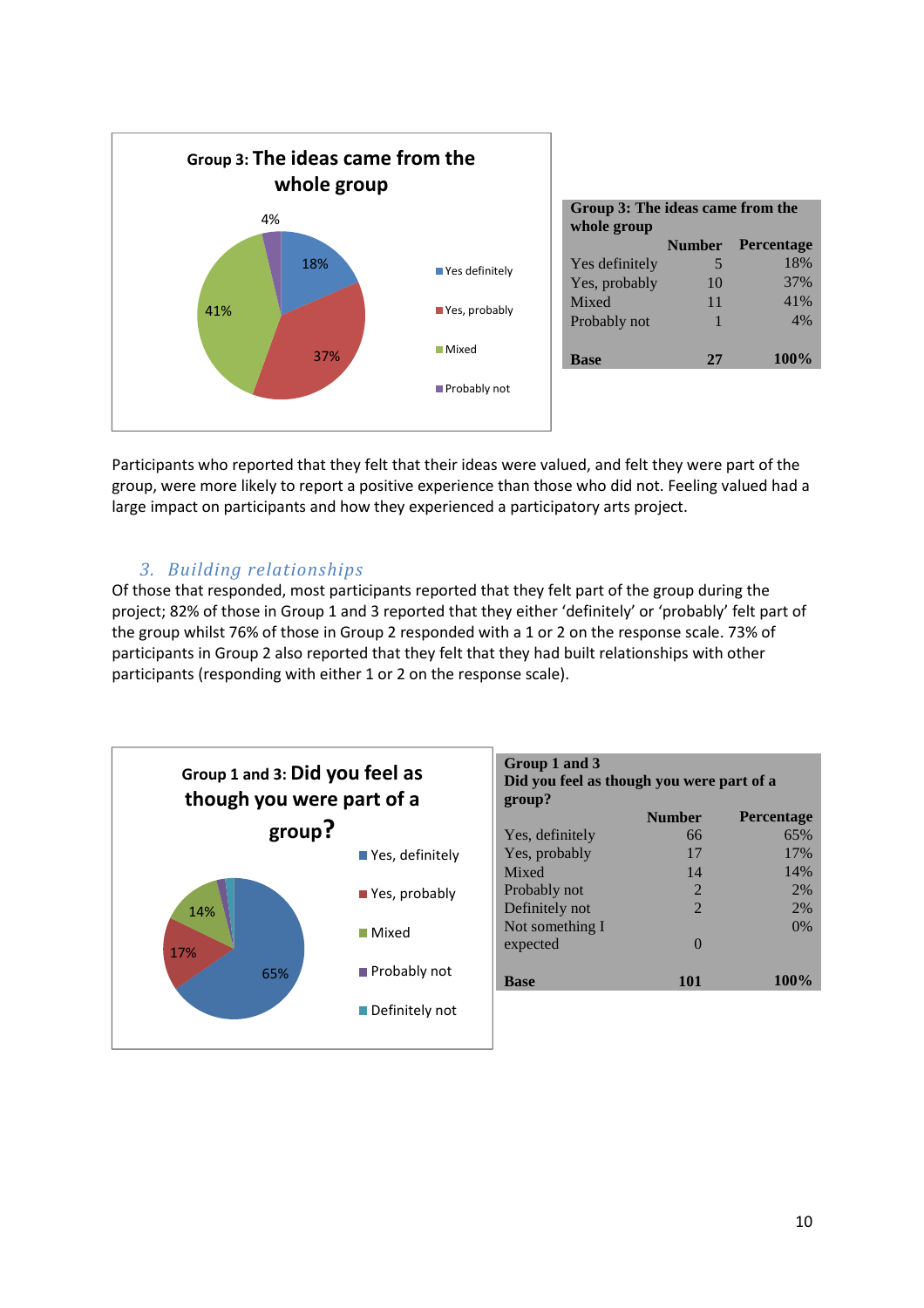

Participants who reported that they felt that their ideas were valued, and felt they were part of the group, were more likely to report a positive experience than those who did not. Feeling valued had a large impact on participants and how they experienced a participatory arts project.

#### *3. Building relationships*

Of those that responded, most participants reported that they felt part of the group during the project; 82% of those in Group 1 and 3 reported that they either 'definitely' or 'probably' felt part of the group whilst 76% of those in Group 2 responded with a 1 or 2 on the response scale. 73% of participants in Group 2 also reported that they felt that they had built relationships with other participants (responding with either 1 or 2 on the response scale).

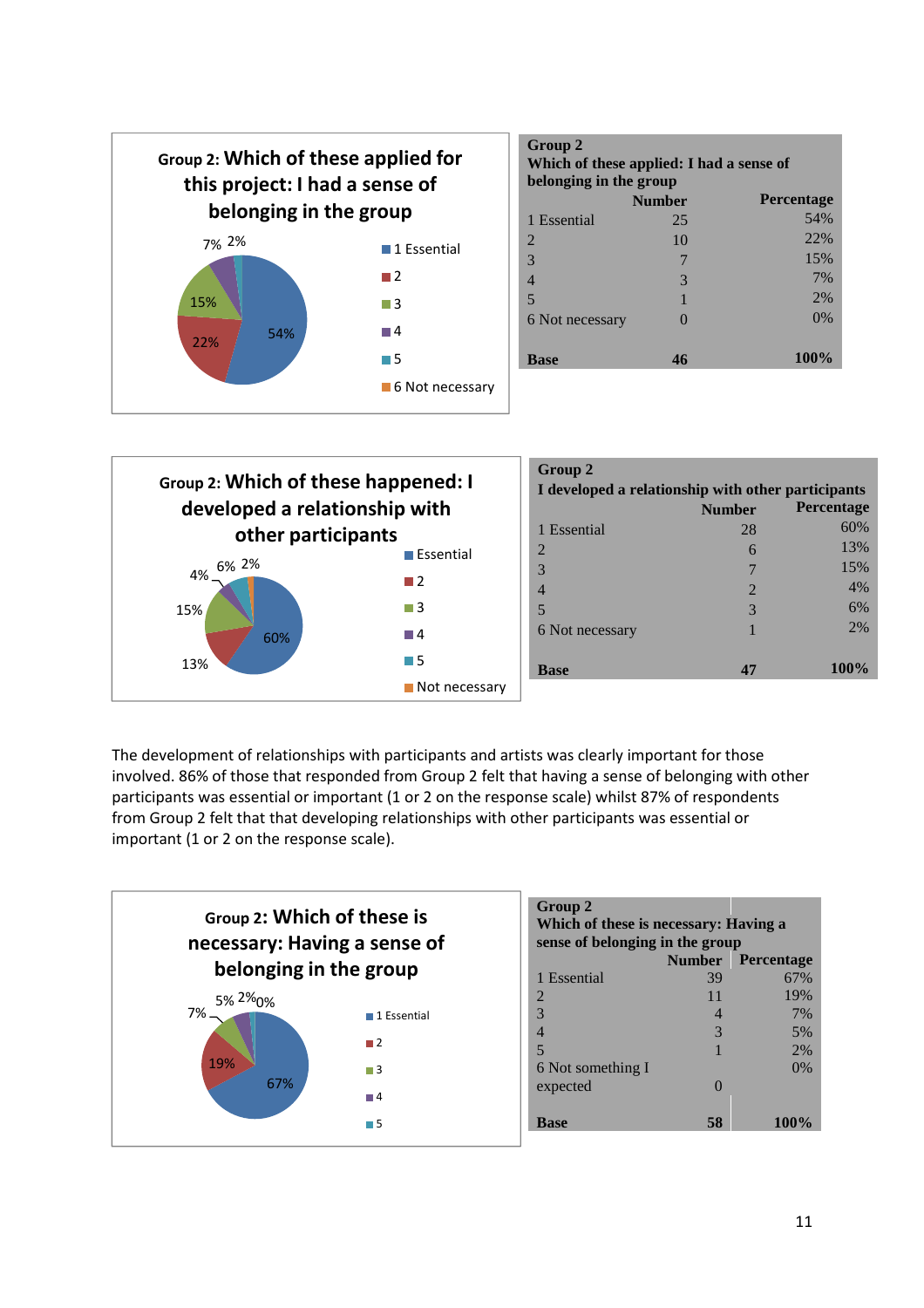

| Group 2<br>Which of these applied: I had a sense of<br>belonging in the group |               |                   |  |
|-------------------------------------------------------------------------------|---------------|-------------------|--|
|                                                                               | <b>Number</b> | <b>Percentage</b> |  |
| 1 Essential                                                                   | 25            | 54%               |  |
| 2                                                                             | 10            | 22%               |  |
| 3                                                                             |               | 15%               |  |
| $\overline{4}$                                                                | 3             | 7%                |  |
| 5                                                                             |               | 2%                |  |
| 6 Not necessary                                                               |               | 0%                |  |
|                                                                               |               |                   |  |
| <b>Base</b>                                                                   | 46            | $100\%$           |  |

| Group 2: Which of these happened: I |                              | Group 2<br>I developed a relationship with other participants |               |                   |
|-------------------------------------|------------------------------|---------------------------------------------------------------|---------------|-------------------|
| developed a relationship with       |                              |                                                               | <b>Number</b> | <b>Percentage</b> |
|                                     | other participants           |                                                               | 28            | 60%               |
|                                     | $\blacksquare$ Essential     | $\overline{2}$                                                | 6             | 13%               |
| 6% 2%<br>4%                         |                              | 3                                                             |               | 15%               |
|                                     | $\blacksquare$ 2             | $\overline{4}$                                                | C             | 4%                |
| 15%                                 | $\Box$ 3                     | 5                                                             | 3             | 6%                |
| 60%                                 | $\Box$ 4                     | 6 Not necessary                                               |               | 2%                |
| 13%                                 | $\blacksquare$ 5             | <b>Base</b>                                                   | 47            | 100%              |
|                                     | $\blacksquare$ Not necessary |                                                               |               |                   |

The development of relationships with participants and artists was clearly important for those involved. 86% of those that responded from Group 2 felt that having a sense of belonging with other participants was essential or important (1 or 2 on the response scale) whilst 87% of respondents from Group 2 felt that that developing relationships with other participants was essential or important (1 or 2 on the response scale).



| <b>Group 2</b><br>Which of these is necessary: Having a<br>sense of belonging in the group |                |                          |  |
|--------------------------------------------------------------------------------------------|----------------|--------------------------|--|
|                                                                                            |                | <b>Number</b> Percentage |  |
| 1 Essential                                                                                | 39             | 67%                      |  |
| 2                                                                                          | 11             | 19%                      |  |
| 3                                                                                          | $\overline{4}$ | 7%                       |  |
| 4                                                                                          | 3              | 5%                       |  |
| 5                                                                                          |                | 2%                       |  |
| 6 Not something I                                                                          |                | 0%                       |  |
| expected                                                                                   |                |                          |  |
|                                                                                            |                |                          |  |
| <b>Base</b>                                                                                | 58             | 100%                     |  |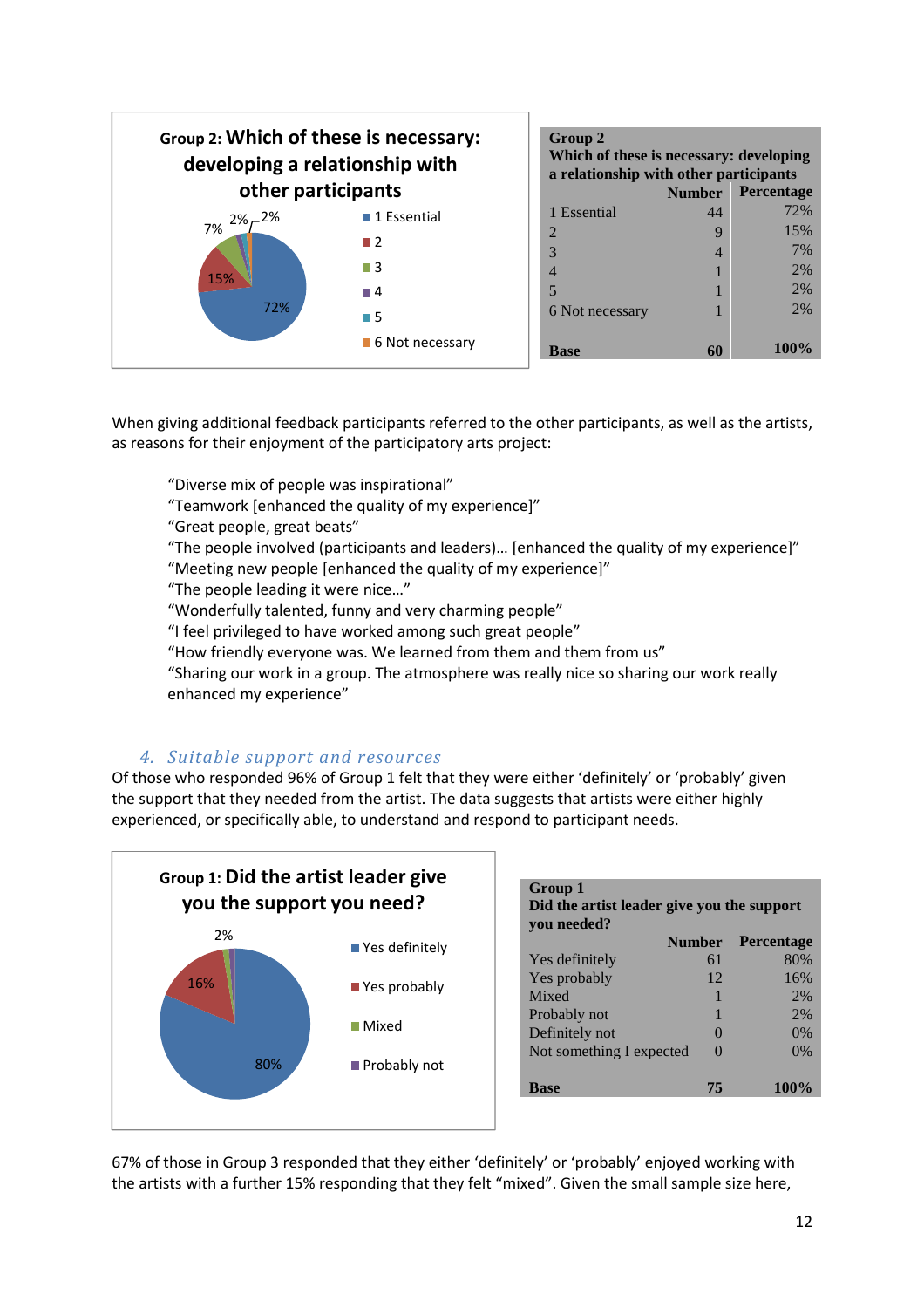

| Group 2<br>Which of these is necessary: developing<br>a relationship with other participants |               |                   |  |
|----------------------------------------------------------------------------------------------|---------------|-------------------|--|
|                                                                                              | <b>Number</b> | <b>Percentage</b> |  |
| 1 Essential                                                                                  | 44            | 72%               |  |
| $\mathcal{D}_{\mathcal{L}}$                                                                  | 9             | 15%               |  |
| 3                                                                                            | 4             | 7%                |  |
| 4                                                                                            |               | 2%                |  |
| 5                                                                                            |               | 2%                |  |
| 6 Not necessary                                                                              |               | 2%                |  |
| Base                                                                                         |               | 100%              |  |

When giving additional feedback participants referred to the other participants, as well as the artists, as reasons for their enjoyment of the participatory arts project:

"Diverse mix of people was inspirational"

"Teamwork [enhanced the quality of my experience]"

"Great people, great beats"

"The people involved (participants and leaders)… [enhanced the quality of my experience]" "Meeting new people [enhanced the quality of my experience]"

"The people leading it were nice…"

"Wonderfully talented, funny and very charming people"

"I feel privileged to have worked among such great people"

"How friendly everyone was. We learned from them and them from us"

"Sharing our work in a group. The atmosphere was really nice so sharing our work really enhanced my experience"

#### *4. Suitable support and resources*

Of those who responded 96% of Group 1 felt that they were either 'definitely' or 'probably' given the support that they needed from the artist. The data suggests that artists were either highly experienced, or specifically able, to understand and respond to participant needs.



| Group 1<br>Did the artist leader give you the support<br>vou needed? |               |                   |  |
|----------------------------------------------------------------------|---------------|-------------------|--|
|                                                                      | <b>Number</b> | <b>Percentage</b> |  |
| Yes definitely                                                       | 61            | 80%               |  |
| Yes probably                                                         | 12            | 16%               |  |
| Mixed                                                                |               | 2%                |  |
| Probably not                                                         |               | 2%                |  |
| Definitely not                                                       |               | 0%                |  |
| Not something I expected                                             | $\Omega$      | 0%                |  |
| <b>Base</b>                                                          | 75            | 100%              |  |

67% of those in Group 3 responded that they either 'definitely' or 'probably' enjoyed working with the artists with a further 15% responding that they felt "mixed". Given the small sample size here,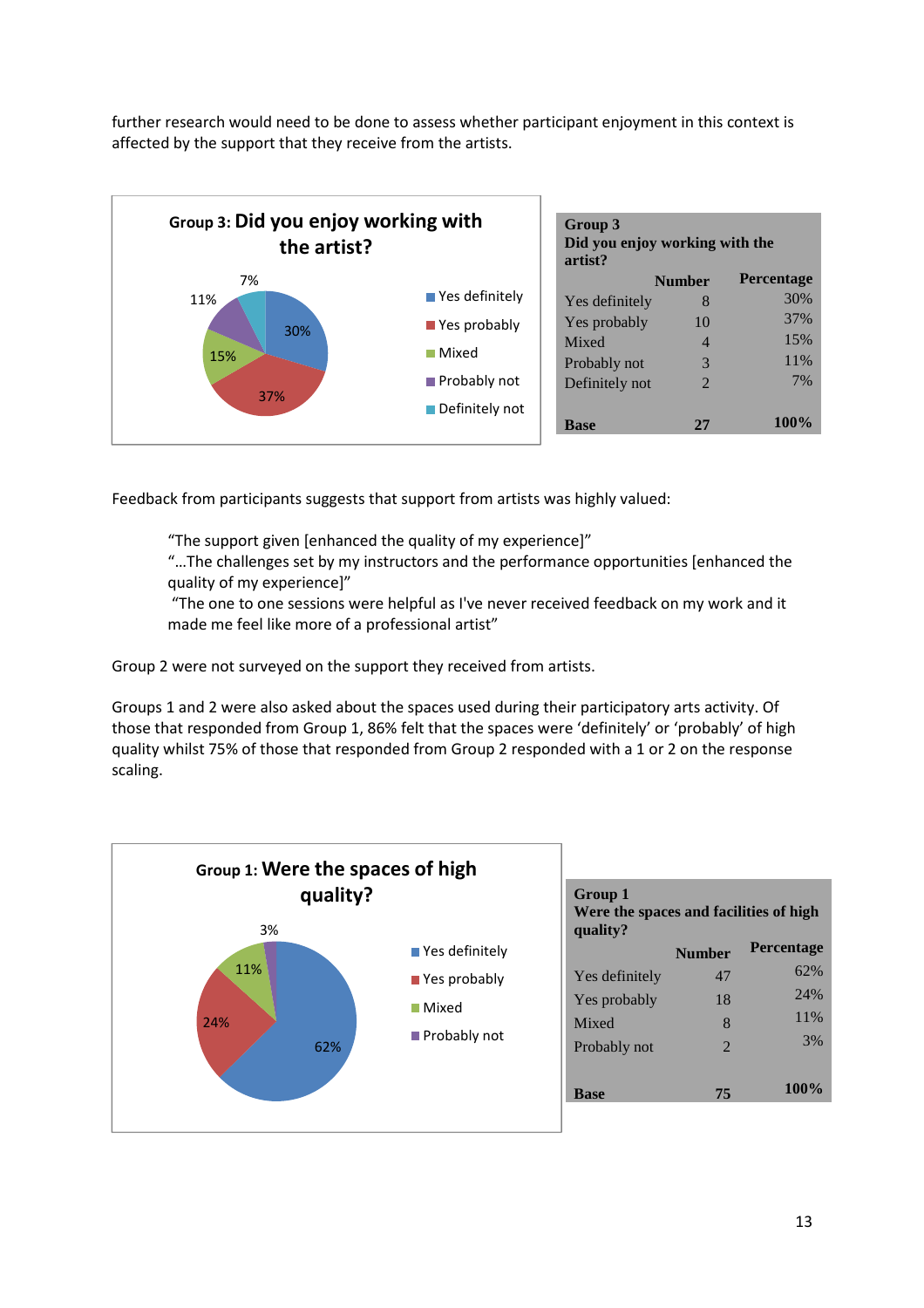further research would need to be done to assess whether participant enjoyment in this context is affected by the support that they receive from the artists.



Feedback from participants suggests that support from artists was highly valued:

"The support given [enhanced the quality of my experience]"

"…The challenges set by my instructors and the performance opportunities [enhanced the quality of my experience]"

 "The one to one sessions were helpful as I've never received feedback on my work and it made me feel like more of a professional artist"

Group 2 were not surveyed on the support they received from artists.

Groups 1 and 2 were also asked about the spaces used during their participatory arts activity. Of those that responded from Group 1, 86% felt that the spaces were 'definitely' or 'probably' of high quality whilst 75% of those that responded from Group 2 responded with a 1 or 2 on the response scaling.

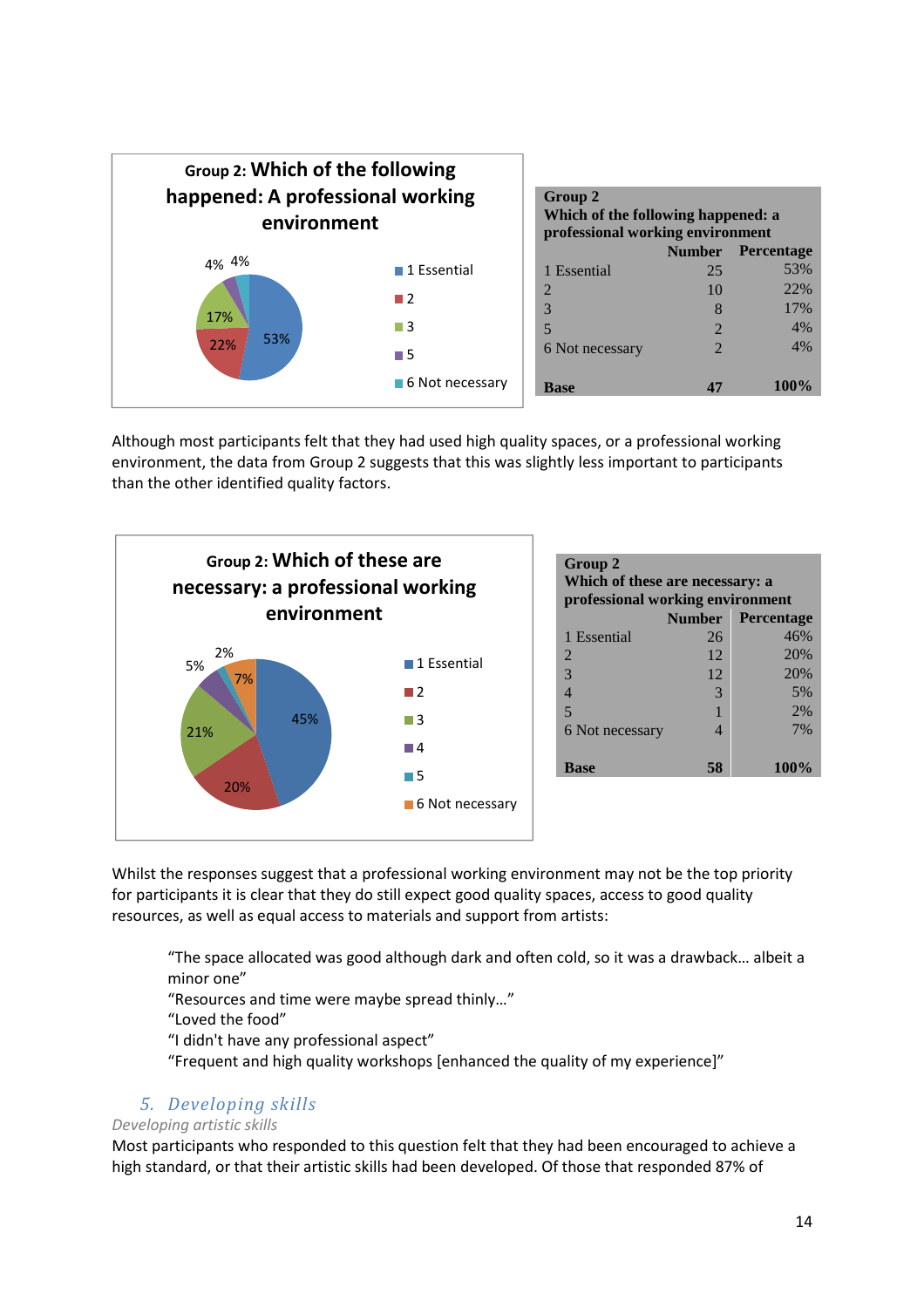

Although most participants felt that they had used high quality spaces, or a professional working environment, the data from Group 2 suggests that this was slightly less important to participants than the other identified quality factors.



| Group 2<br>Which of these are necessary: a<br>professional working environment |    |                          |  |
|--------------------------------------------------------------------------------|----|--------------------------|--|
|                                                                                |    | <b>Number Percentage</b> |  |
| 1 Essential                                                                    | 26 | 46%                      |  |
| $\overline{2}$                                                                 | 12 | 20%                      |  |
| 3                                                                              | 12 | 20%                      |  |
| $\overline{4}$                                                                 | 3  | 5%                       |  |
| 5                                                                              |    | 2%                       |  |
| 6 Not necessary                                                                | Δ  | 7%                       |  |
| <b>Base</b>                                                                    | 58 | 100%                     |  |

Whilst the responses suggest that a professional working environment may not be the top priority for participants it is clear that they do still expect good quality spaces, access to good quality resources, as well as equal access to materials and support from artists:

"The space allocated was good although dark and often cold, so it was a drawback… albeit a minor one"

"Resources and time were maybe spread thinly…"

"Loved the food"

"I didn't have any professional aspect"

"Frequent and high quality workshops [enhanced the quality of my experience]"

#### *5. Developing skills*

#### *Developing artistic skills*

Most participants who responded to this question felt that they had been encouraged to achieve a high standard, or that their artistic skills had been developed. Of those that responded 87% of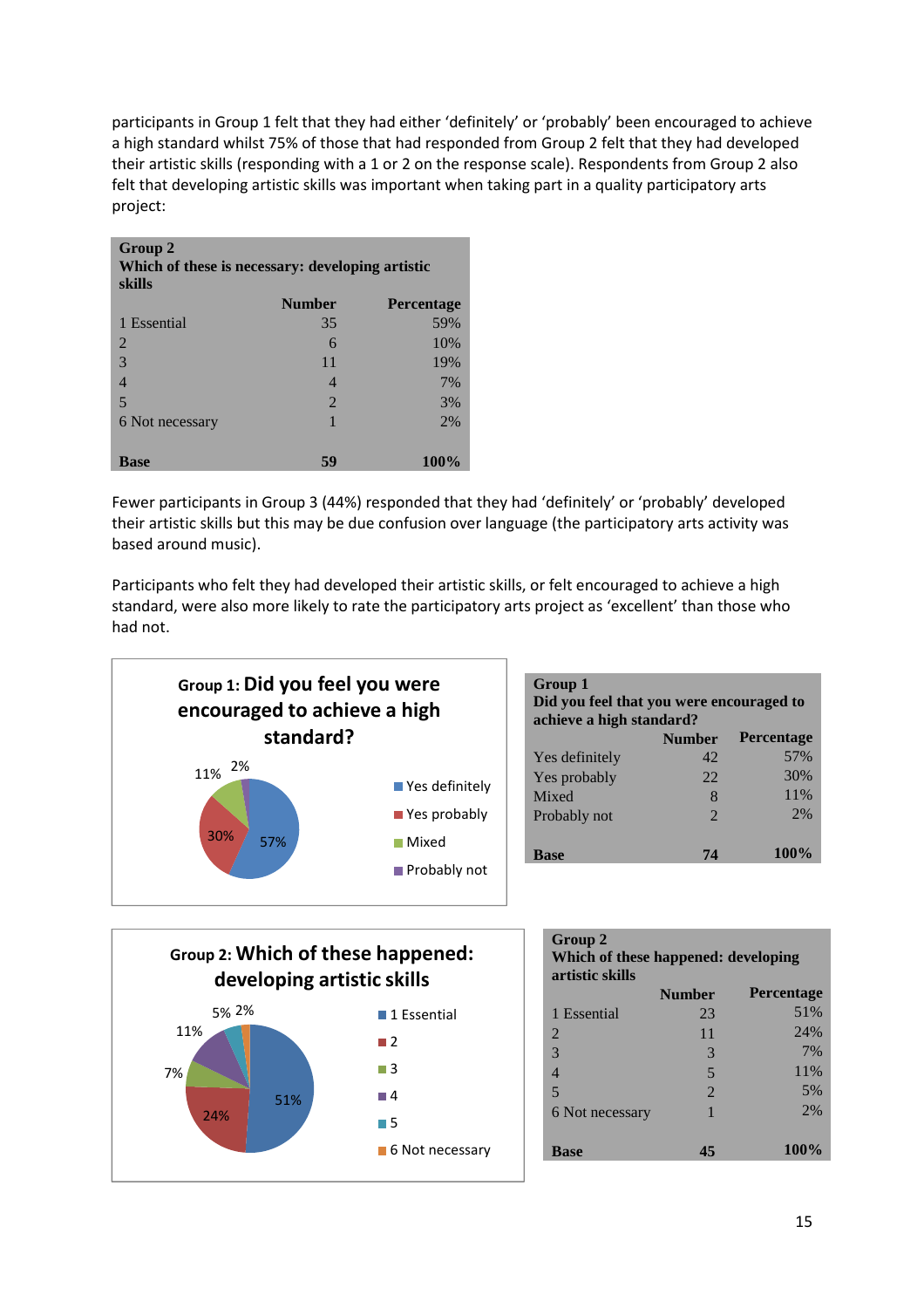participants in Group 1 felt that they had either 'definitely' or 'probably' been encouraged to achieve a high standard whilst 75% of those that had responded from Group 2 felt that they had developed their artistic skills (responding with a 1 or 2 on the response scale). Respondents from Group 2 also felt that developing artistic skills was important when taking part in a quality participatory arts project:

| Group 2<br>Which of these is necessary: developing artistic<br>skills |                       |                   |  |
|-----------------------------------------------------------------------|-----------------------|-------------------|--|
|                                                                       | <b>Number</b>         | <b>Percentage</b> |  |
| 1 Essential                                                           | 35                    | 59%               |  |
| 2                                                                     | 6                     | 10%               |  |
| 3                                                                     | 11                    | 19%               |  |
|                                                                       | 4                     | 7%                |  |
| 5                                                                     | $\mathcal{D}_{\cdot}$ | 3%                |  |
| 6 Not necessary                                                       |                       | 2%                |  |
|                                                                       |                       |                   |  |
| <b>Base</b>                                                           | 59                    | 100%              |  |

Fewer participants in Group 3 (44%) responded that they had 'definitely' or 'probably' developed their artistic skills but this may be due confusion over language (the participatory arts activity was based around music).

Participants who felt they had developed their artistic skills, or felt encouraged to achieve a high standard, were also more likely to rate the participatory arts project as 'excellent' than those who had not.



| Group 1<br>Did you feel that you were encouraged to<br>achieve a high standard? |                             |                   |  |
|---------------------------------------------------------------------------------|-----------------------------|-------------------|--|
|                                                                                 | <b>Number</b>               | <b>Percentage</b> |  |
| Yes definitely                                                                  | 42                          | 57%               |  |
| Yes probably                                                                    | 22                          | 30%               |  |
| Mixed                                                                           | 8                           | 11%               |  |
| Probably not                                                                    | $\mathcal{D}_{\mathcal{A}}$ | 2%                |  |
| Base                                                                            | 74                          | 100%              |  |



| Group 2<br>Which of these happened: developing<br>artistic skills |                       |                   |  |
|-------------------------------------------------------------------|-----------------------|-------------------|--|
|                                                                   | <b>Number</b>         | <b>Percentage</b> |  |
| 1 Essential                                                       | 23                    | 51%               |  |
| 2                                                                 | 11                    | 24%               |  |
| 3                                                                 | 3                     | 7%                |  |
| 4                                                                 | 5                     | 11\%              |  |
| 5                                                                 | $\mathcal{D}_{\cdot}$ | 5%                |  |
| 6 Not necessary                                                   | 1                     | 2%                |  |
|                                                                   |                       |                   |  |
| <b>Base</b>                                                       | 45                    | 100%              |  |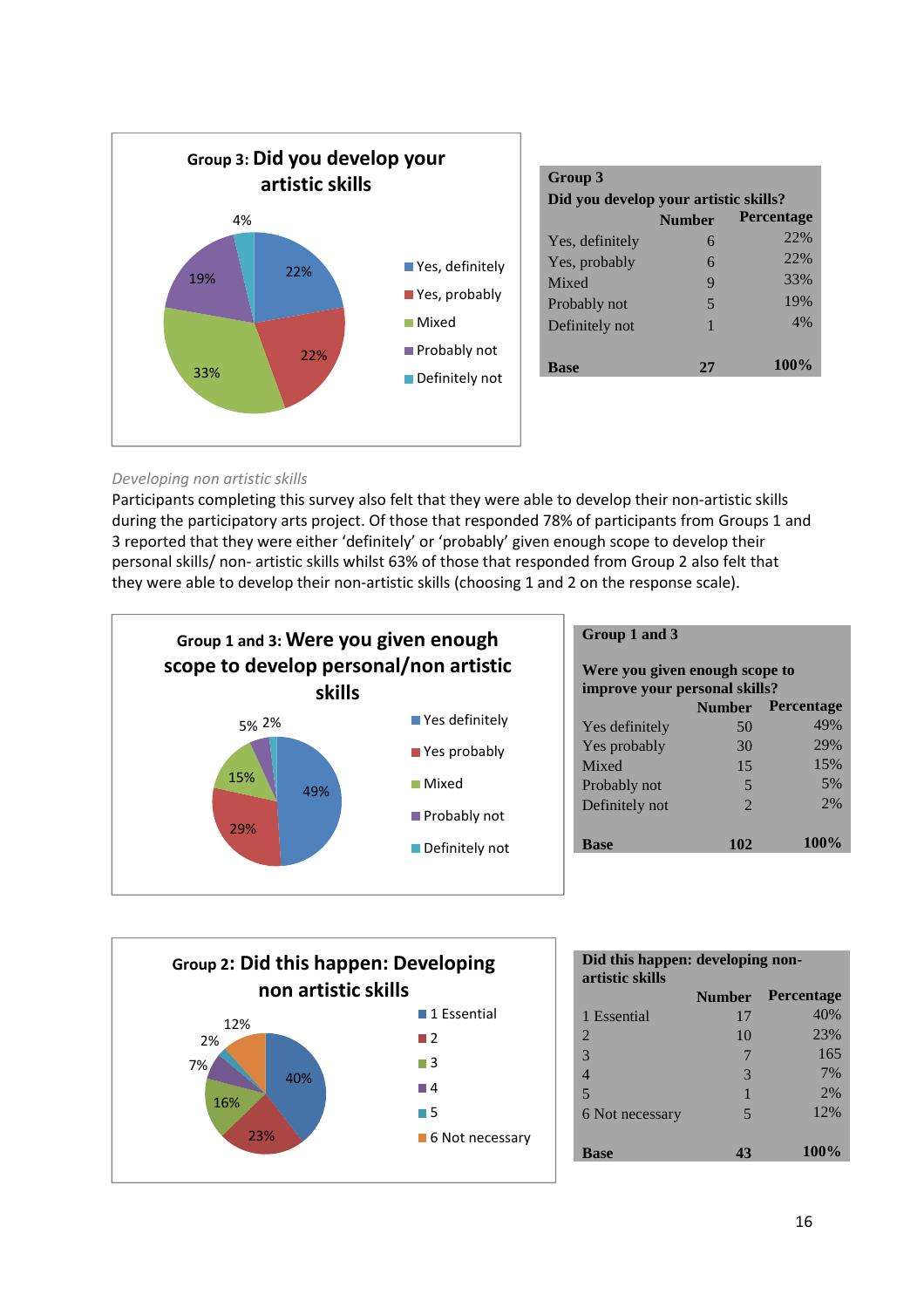

| Group 3<br>Did you develop your artistic skills? |               |                   |
|--------------------------------------------------|---------------|-------------------|
|                                                  | <b>Number</b> | <b>Percentage</b> |
| Yes, definitely                                  | 6             | 22%               |
| Yes, probably                                    | 6             | 22%               |
| Mixed                                            | 9             | 33%               |
| Probably not                                     | 5             | 19%               |
| Definitely not                                   | 1             | 4%                |
|                                                  |               |                   |
| <b>Base</b>                                      | 27            | $100\%$           |

#### *Developing non artistic skills*

Participants completing this survey also felt that they were able to develop their non-artistic skills during the participatory arts project. Of those that responded 78% of participants from Groups 1 and 3 reported that they were either 'definitely' or 'probably' given enough scope to develop their personal skills/ non- artistic skills whilst 63% of those that responded from Group 2 also felt that they were able to develop their non-artistic skills (choosing 1 and 2 on the response scale).



#### **Group 1 and 3**

| Were you given enough scope to<br>improve your personal skills? |                |      |  |
|-----------------------------------------------------------------|----------------|------|--|
| <b>Percentage</b><br><b>Number</b>                              |                |      |  |
| Yes definitely                                                  | 50             | 49%  |  |
| Yes probably                                                    | 30             | 29%  |  |
| Mixed                                                           | 15             | 15%  |  |
| Probably not                                                    | 5              | 5%   |  |
| Definitely not                                                  | $\mathfrak{D}$ | 2%   |  |
| <b>Base</b>                                                     | 102            | 100% |  |



| Did this happen: developing non-<br>artistic skills |               |                   |  |
|-----------------------------------------------------|---------------|-------------------|--|
|                                                     | <b>Number</b> | <b>Percentage</b> |  |
| 1 Essential                                         | 17            | 40%               |  |
| $\overline{2}$                                      | 10            | 23%               |  |
| 3                                                   | 7             | 165               |  |
| $\overline{\mathcal{A}}$                            | 3             | 7%                |  |
| 5                                                   |               | 2%                |  |
| 6 Not necessary                                     | 5             | 12%               |  |
| <b>Base</b>                                         | 43            | 100%              |  |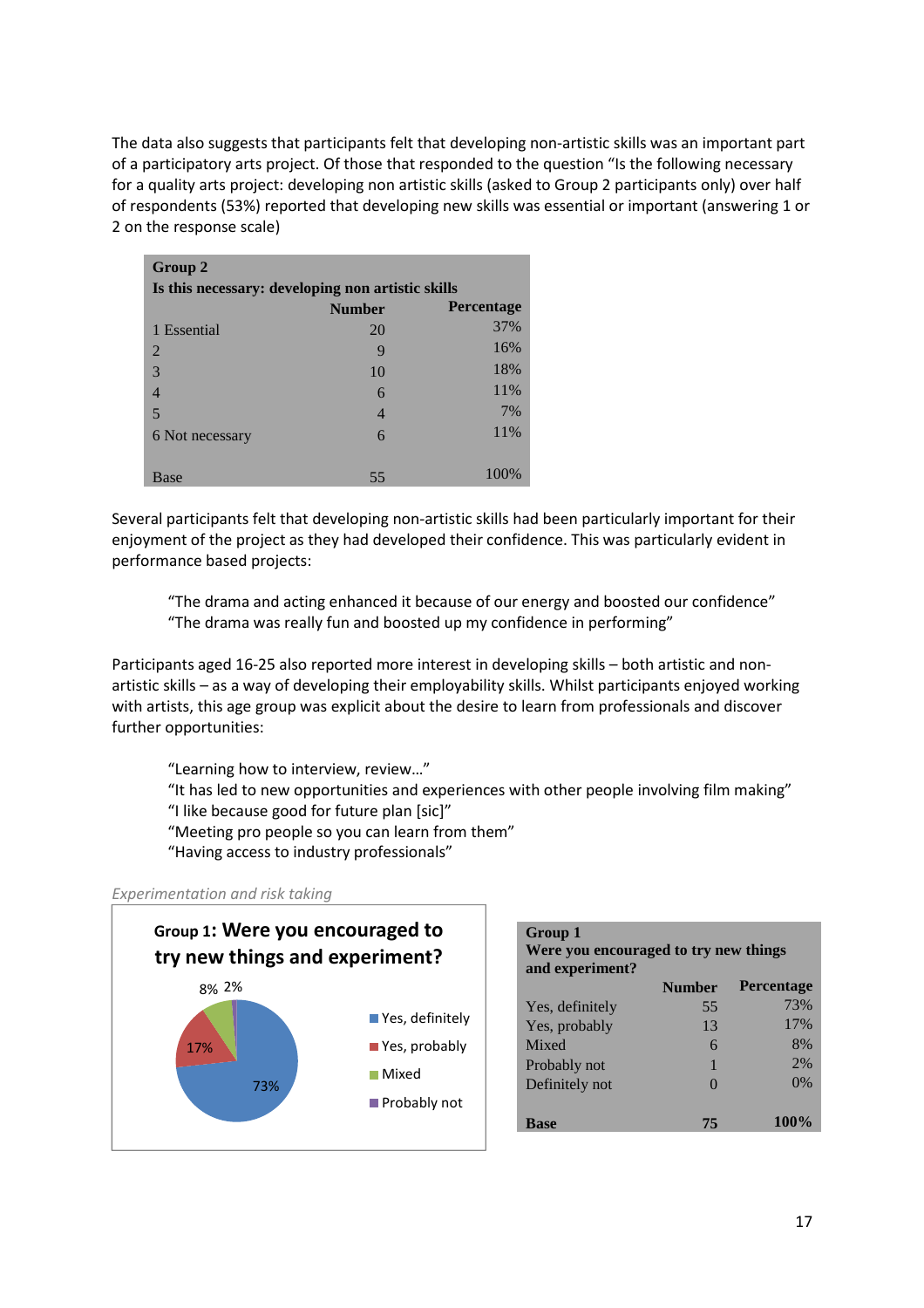The data also suggests that participants felt that developing non-artistic skills was an important part of a participatory arts project. Of those that responded to the question "Is the following necessary for a quality arts project: developing non artistic skills (asked to Group 2 participants only) over half of respondents (53%) reported that developing new skills was essential or important (answering 1 or 2 on the response scale)

| Group 2                                           |               |                   |
|---------------------------------------------------|---------------|-------------------|
| Is this necessary: developing non artistic skills |               |                   |
|                                                   | <b>Number</b> | <b>Percentage</b> |
| 1 Essential                                       | 20            | 37%               |
| 2                                                 | 9             | 16%               |
| 3                                                 | 10            | 18%               |
| 4                                                 | 6             | 11%               |
| 5                                                 | 4             | 7%                |
| 6 Not necessary                                   | 6             | 11%               |
|                                                   |               |                   |
| Base                                              | 55            | 100%              |

Several participants felt that developing non-artistic skills had been particularly important for their enjoyment of the project as they had developed their confidence. This was particularly evident in performance based projects:

 "The drama and acting enhanced it because of our energy and boosted our confidence" "The drama was really fun and boosted up my confidence in performing"

Participants aged 16-25 also reported more interest in developing skills – both artistic and nonartistic skills – as a way of developing their employability skills. Whilst participants enjoyed working with artists, this age group was explicit about the desire to learn from professionals and discover further opportunities:

 "Learning how to interview, review…" "It has led to new opportunities and experiences with other people involving film making" "I like because good for future plan [sic]" "Meeting pro people so you can learn from them" "Having access to industry professionals"

**Group 1** 

#### *Experimentation and risk taking*



| Were you encouraged to try new things |                   |                   |  |  |  |
|---------------------------------------|-------------------|-------------------|--|--|--|
| and experiment?                       | <b>Number</b>     | <b>Percentage</b> |  |  |  |
| Yes, definitely                       | 55                | 73%               |  |  |  |
| Yes, probably                         | 13                | 17%               |  |  |  |
| Mixed                                 | 6                 | 8%                |  |  |  |
| Probably not                          |                   | 2%                |  |  |  |
| Definitely not                        | $\mathbf{\Omega}$ | 0%                |  |  |  |
| <b>Base</b>                           | 75                | 100%              |  |  |  |
|                                       |                   |                   |  |  |  |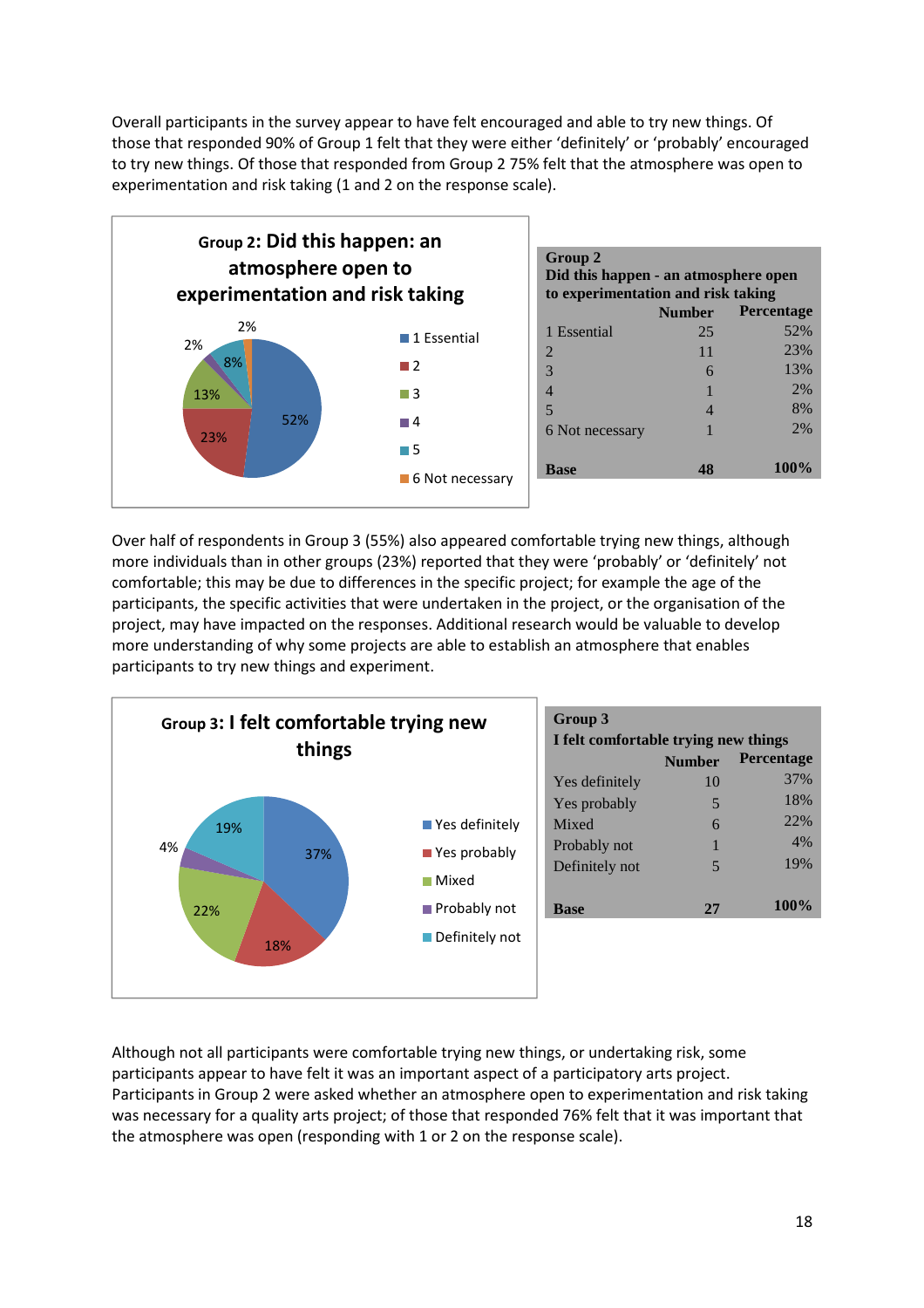Overall participants in the survey appear to have felt encouraged and able to try new things. Of those that responded 90% of Group 1 felt that they were either 'definitely' or 'probably' encouraged to try new things. Of those that responded from Group 2 75% felt that the atmosphere was open to experimentation and risk taking (1 and 2 on the response scale).



Over half of respondents in Group 3 (55%) also appeared comfortable trying new things, although more individuals than in other groups (23%) reported that they were 'probably' or 'definitely' not comfortable; this may be due to differences in the specific project; for example the age of the participants, the specific activities that were undertaken in the project, or the organisation of the project, may have impacted on the responses. Additional research would be valuable to develop more understanding of why some projects are able to establish an atmosphere that enables participants to try new things and experiment.



Although not all participants were comfortable trying new things, or undertaking risk, some participants appear to have felt it was an important aspect of a participatory arts project. Participants in Group 2 were asked whether an atmosphere open to experimentation and risk taking was necessary for a quality arts project; of those that responded 76% felt that it was important that the atmosphere was open (responding with 1 or 2 on the response scale).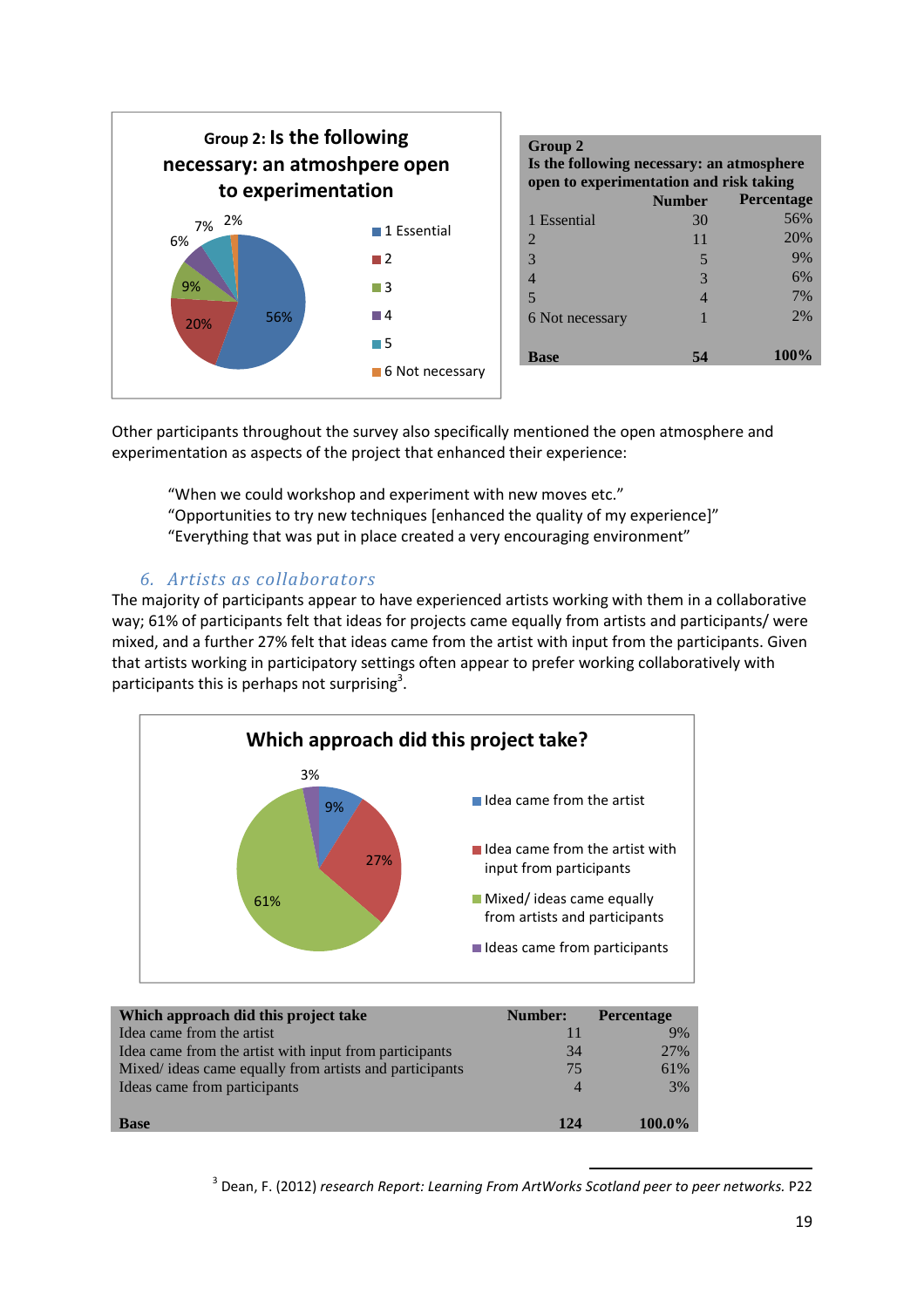

| <b>Group 2</b><br>Is the following necessary: an atmosphere<br>open to experimentation and risk taking |                          |                   |  |  |  |  |  |
|--------------------------------------------------------------------------------------------------------|--------------------------|-------------------|--|--|--|--|--|
|                                                                                                        | <b>Number</b>            | <b>Percentage</b> |  |  |  |  |  |
| 1 Essential                                                                                            | 30                       | 56%               |  |  |  |  |  |
| $\mathfrak{D}$                                                                                         | 11                       | 20%               |  |  |  |  |  |
| 3                                                                                                      | 5                        | 9%                |  |  |  |  |  |
| 4                                                                                                      | $\mathcal{R}$            | 6%                |  |  |  |  |  |
| 5                                                                                                      | $\overline{\mathcal{A}}$ | 7%                |  |  |  |  |  |
| 6 Not necessary                                                                                        |                          | 2%                |  |  |  |  |  |
|                                                                                                        |                          |                   |  |  |  |  |  |
| Base                                                                                                   | 54                       | <b>100%</b>       |  |  |  |  |  |

Other participants throughout the survey also specifically mentioned the open atmosphere and experimentation as aspects of the project that enhanced their experience:

"When we could workshop and experiment with new moves etc."

- "Opportunities to try new techniques [enhanced the quality of my experience]"
- "Everything that was put in place created a very encouraging environment"

#### *6. Artists as collaborators*

The majority of participants appear to have experienced artists working with them in a collaborative way; 61% of participants felt that ideas for projects came equally from artists and participants/ were mixed, and a further 27% felt that ideas came from the artist with input from the participants. Given that artists working in participatory settings often appear to prefer working collaboratively with participants this is perhaps not surprising<sup>3</sup>.



| Which approach did this project take                    | Number:         | <b>Percentage</b> |
|---------------------------------------------------------|-----------------|-------------------|
| Idea came from the artist                               |                 | 9%                |
| Idea came from the artist with input from participants  | 34              | 27%               |
| Mixed/ ideas came equally from artists and participants | 75              | 61%               |
| Ideas came from participants                            | 4               | 3%                |
| <b>Base</b>                                             | 12 <sub>A</sub> | 100.0%            |

l <sup>3</sup> Dean, F. (2012) research Report: Learning From ArtWorks Scotland peer to peer networks. P22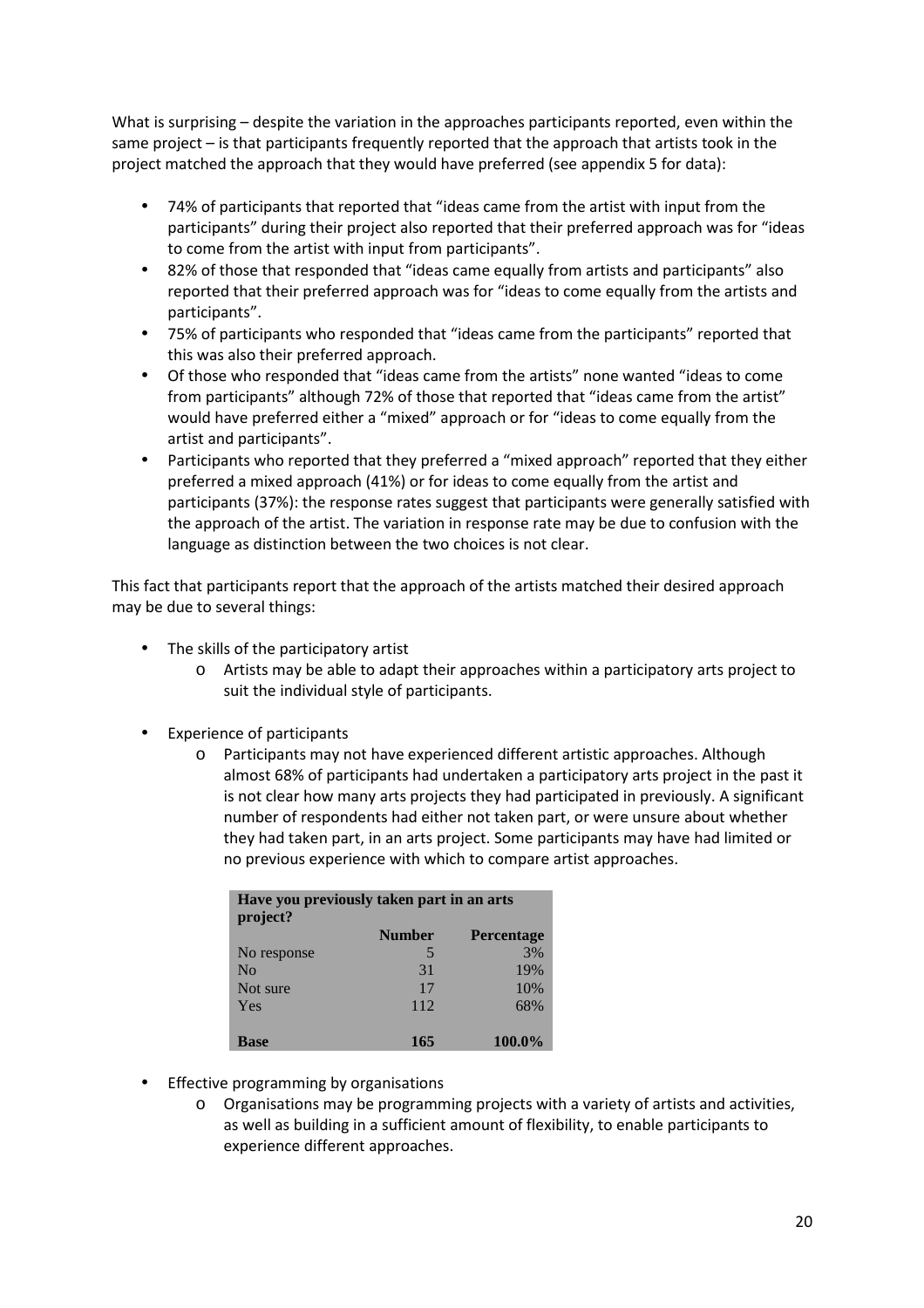What is surprising – despite the variation in the approaches participants reported, even within the same project – is that participants frequently reported that the approach that artists took in the project matched the approach that they would have preferred (see appendix 5 for data):

- 74% of participants that reported that "ideas came from the artist with input from the participants" during their project also reported that their preferred approach was for "ideas to come from the artist with input from participants".
- 82% of those that responded that "ideas came equally from artists and participants" also reported that their preferred approach was for "ideas to come equally from the artists and participants".
- 75% of participants who responded that "ideas came from the participants" reported that this was also their preferred approach.
- Of those who responded that "ideas came from the artists" none wanted "ideas to come from participants" although 72% of those that reported that "ideas came from the artist" would have preferred either a "mixed" approach or for "ideas to come equally from the artist and participants".
- Participants who reported that they preferred a "mixed approach" reported that they either preferred a mixed approach (41%) or for ideas to come equally from the artist and participants (37%): the response rates suggest that participants were generally satisfied with the approach of the artist. The variation in response rate may be due to confusion with the language as distinction between the two choices is not clear.

This fact that participants report that the approach of the artists matched their desired approach may be due to several things:

- The skills of the participatory artist
	- o Artists may be able to adapt their approaches within a participatory arts project to suit the individual style of participants.
- Experience of participants
	- o Participants may not have experienced different artistic approaches. Although almost 68% of participants had undertaken a participatory arts project in the past it is not clear how many arts projects they had participated in previously. A significant number of respondents had either not taken part, or were unsure about whether they had taken part, in an arts project. Some participants may have had limited or no previous experience with which to compare artist approaches.

| Have you previously taken part in an arts<br>project? |               |                   |  |  |  |
|-------------------------------------------------------|---------------|-------------------|--|--|--|
|                                                       | <b>Number</b> | <b>Percentage</b> |  |  |  |
| No response                                           | 5             | 3%                |  |  |  |
| No                                                    | 31            | 19%               |  |  |  |
| Not sure                                              | 17            | 10%               |  |  |  |
| Yes                                                   | 112           | 68%               |  |  |  |
|                                                       |               |                   |  |  |  |
| Base                                                  | 165           | 100.0%            |  |  |  |

- Effective programming by organisations
	- $\circ$  Organisations may be programming projects with a variety of artists and activities, as well as building in a sufficient amount of flexibility, to enable participants to experience different approaches.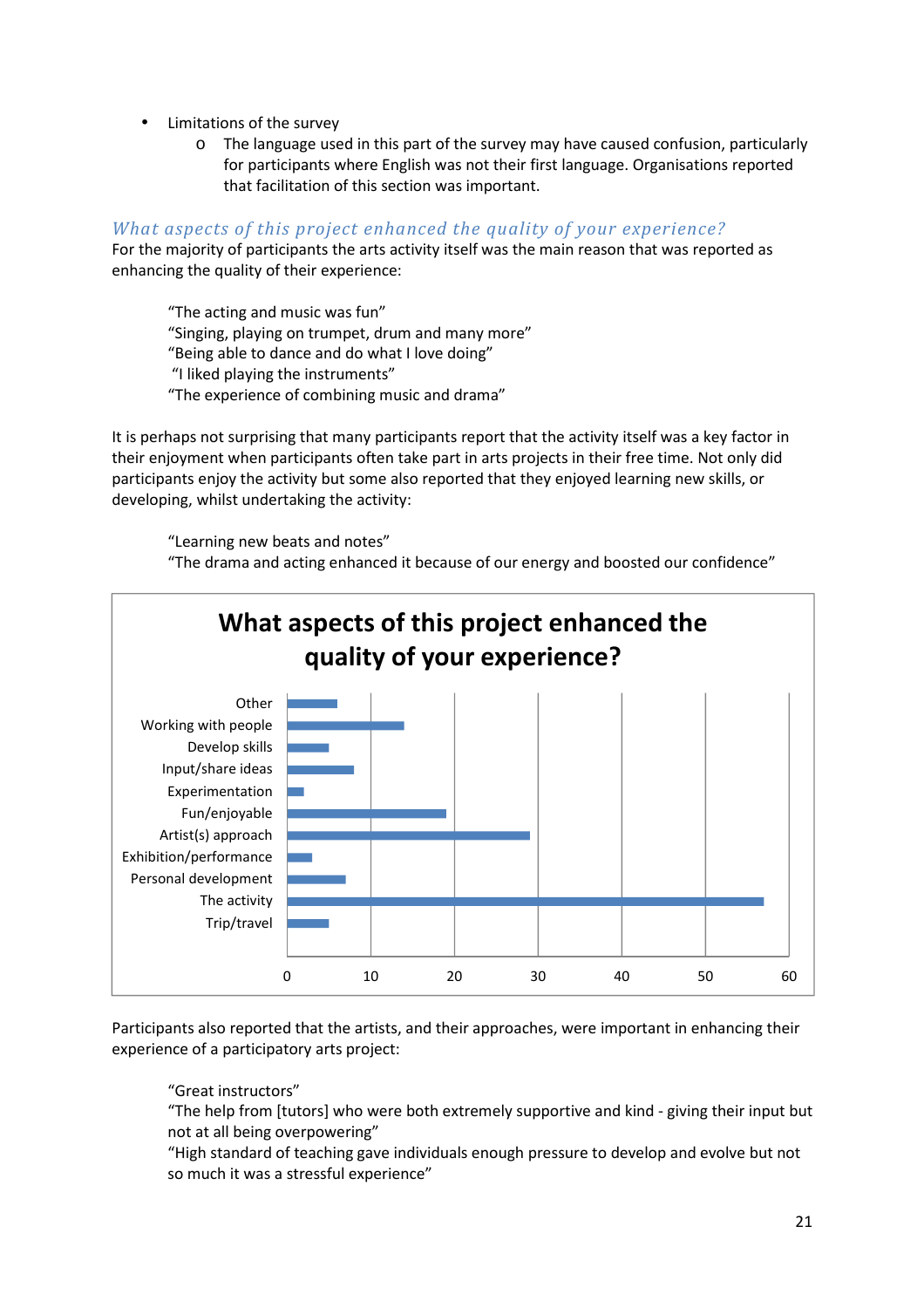- Limitations of the survey
	- o The language used in this part of the survey may have caused confusion, particularly for participants where English was not their first language. Organisations reported that facilitation of this section was important.

#### *What aspects of this project enhanced the quality of your experience?*

For the majority of participants the arts activity itself was the main reason that was reported as enhancing the quality of their experience:

"The acting and music was fun" "Singing, playing on trumpet, drum and many more" "Being able to dance and do what I love doing" "I liked playing the instruments" "The experience of combining music and drama"

It is perhaps not surprising that many participants report that the activity itself was a key factor in their enjoyment when participants often take part in arts projects in their free time. Not only did participants enjoy the activity but some also reported that they enjoyed learning new skills, or developing, whilst undertaking the activity:

"Learning new beats and notes" "The drama and acting enhanced it because of our energy and boosted our confidence"



Participants also reported that the artists, and their approaches, were important in enhancing their experience of a participatory arts project:

"Great instructors"

"The help from [tutors] who were both extremely supportive and kind - giving their input but not at all being overpowering"

"High standard of teaching gave individuals enough pressure to develop and evolve but not so much it was a stressful experience"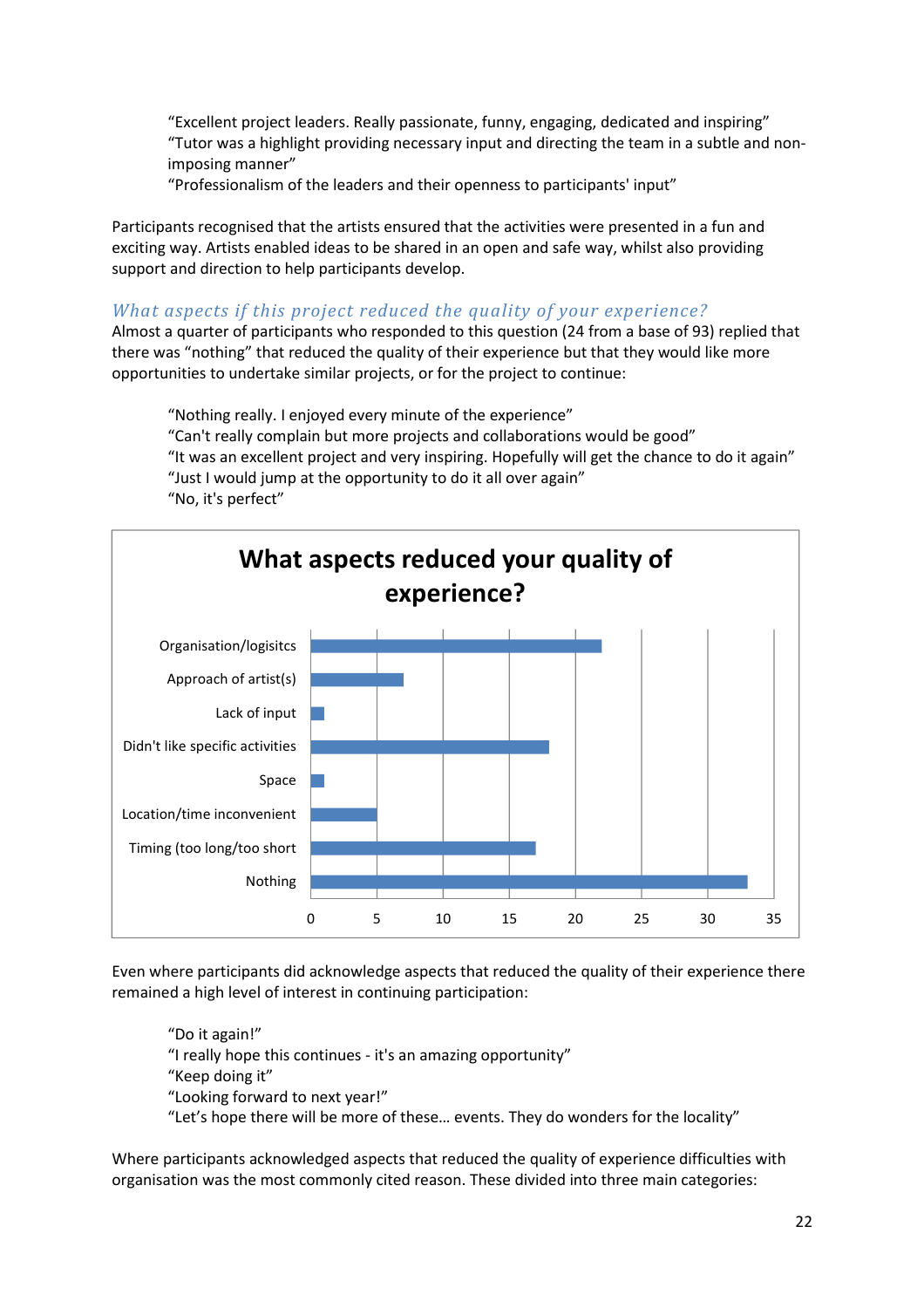"Excellent project leaders. Really passionate, funny, engaging, dedicated and inspiring" "Tutor was a highlight providing necessary input and directing the team in a subtle and nonimposing manner"

"Professionalism of the leaders and their openness to participants' input"

Participants recognised that the artists ensured that the activities were presented in a fun and exciting way. Artists enabled ideas to be shared in an open and safe way, whilst also providing support and direction to help participants develop.

#### *What aspects if this project reduced the quality of your experience?*

Almost a quarter of participants who responded to this question (24 from a base of 93) replied that there was "nothing" that reduced the quality of their experience but that they would like more opportunities to undertake similar projects, or for the project to continue:

 "Nothing really. I enjoyed every minute of the experience" "Can't really complain but more projects and collaborations would be good" "It was an excellent project and very inspiring. Hopefully will get the chance to do it again" "Just I would jump at the opportunity to do it all over again" "No, it's perfect"



Even where participants did acknowledge aspects that reduced the quality of their experience there remained a high level of interest in continuing participation:

"Do it again!" "I really hope this continues - it's an amazing opportunity" "Keep doing it" "Looking forward to next year!" "Let's hope there will be more of these… events. They do wonders for the locality"

Where participants acknowledged aspects that reduced the quality of experience difficulties with organisation was the most commonly cited reason. These divided into three main categories: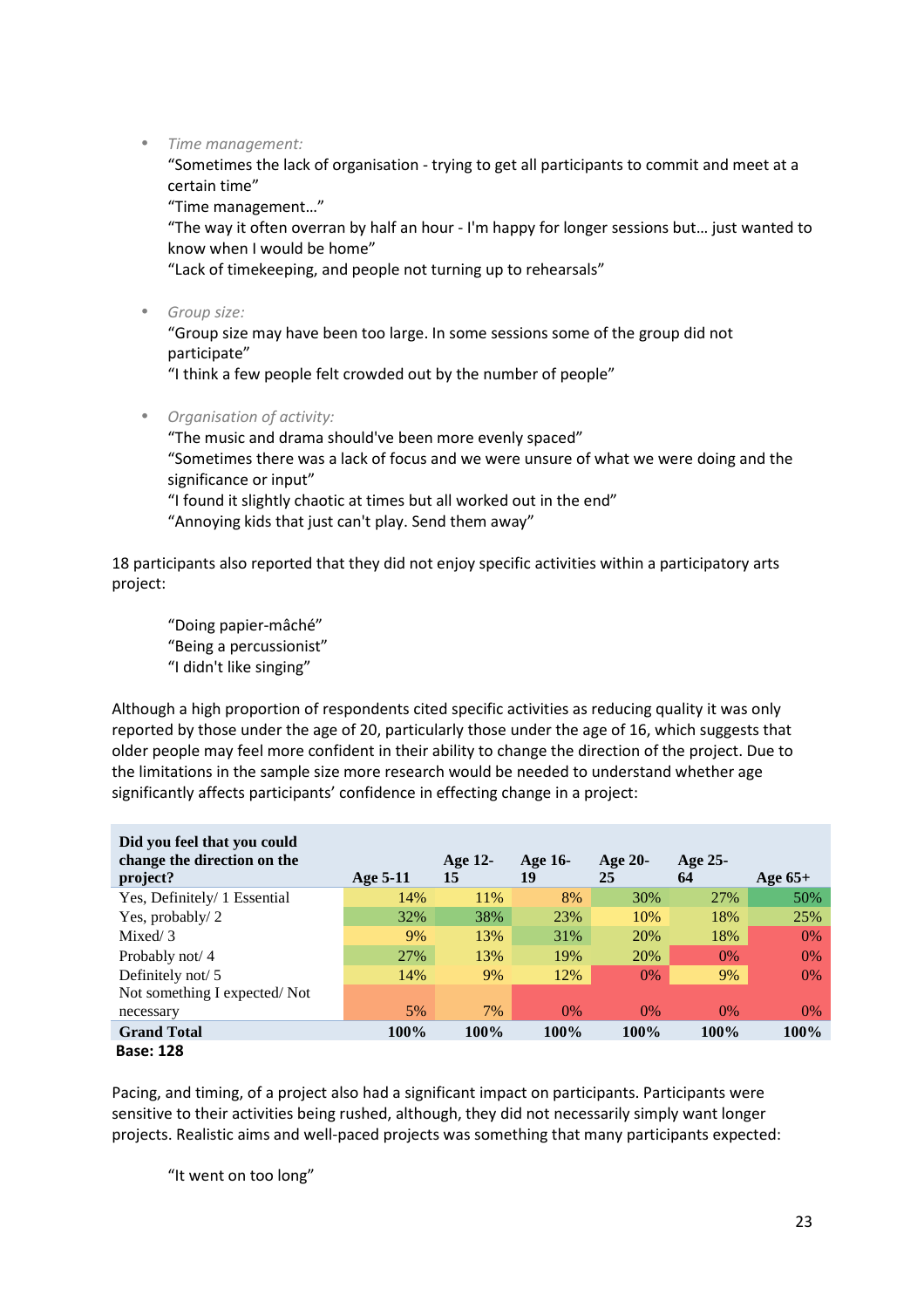• *Time management:* 

"Sometimes the lack of organisation - trying to get all participants to commit and meet at a certain time"

"Time management…"

"The way it often overran by half an hour - I'm happy for longer sessions but… just wanted to know when I would be home"

"Lack of timekeeping, and people not turning up to rehearsals"

• *Group size:* 

"Group size may have been too large. In some sessions some of the group did not participate"

"I think a few people felt crowded out by the number of people"

• *Organisation of activity:* 

"The music and drama should've been more evenly spaced" "Sometimes there was a lack of focus and we were unsure of what we were doing and the significance or input" "I found it slightly chaotic at times but all worked out in the end"

"Annoying kids that just can't play. Send them away"

18 participants also reported that they did not enjoy specific activities within a participatory arts project:

 "Doing papier-mâché" "Being a percussionist" "I didn't like singing"

Although a high proportion of respondents cited specific activities as reducing quality it was only reported by those under the age of 20, particularly those under the age of 16, which suggests that older people may feel more confident in their ability to change the direction of the project. Due to the limitations in the sample size more research would be needed to understand whether age significantly affects participants' confidence in effecting change in a project:

| Did you feel that you could<br>change the direction on the<br>project? | Age $5-11$ | Age 12-<br>15 | Age 16-<br>19 | Age $20-$<br>25 | Age 25-<br>64 | Age $65+$ |
|------------------------------------------------------------------------|------------|---------------|---------------|-----------------|---------------|-----------|
| Yes, Definitely/ 1 Essential                                           | 14%        | 11%           | 8%            | 30%             | 27%           | 50%       |
| Yes, probably/2                                                        | 32%        | 38%           | 23%           | 10%             | 18%           | 25%       |
| Mixed/ 3                                                               | 9%         | 13%           | 31%           | 20%             | 18%           | $0\%$     |
| Probably not/4                                                         | 27%        | 13%           | 19%           | 20%             | $0\%$         | 0%        |
| Definitely not/ $5$                                                    | 14%        | 9%            | 12%           | $0\%$           | 9%            | 0%        |
| Not something I expected/Not                                           |            |               |               |                 |               |           |
| necessary                                                              | 5%         | 7%            | $0\%$         | $0\%$           | $0\%$         | $0\%$     |
| <b>Grand Total</b>                                                     | 100%       | 100%          | 100%          | 100%            | 100%          | 100%      |
| <b>Base: 128</b>                                                       |            |               |               |                 |               |           |

Pacing, and timing, of a project also had a significant impact on participants. Participants were sensitive to their activities being rushed, although, they did not necessarily simply want longer projects. Realistic aims and well-paced projects was something that many participants expected:

"It went on too long"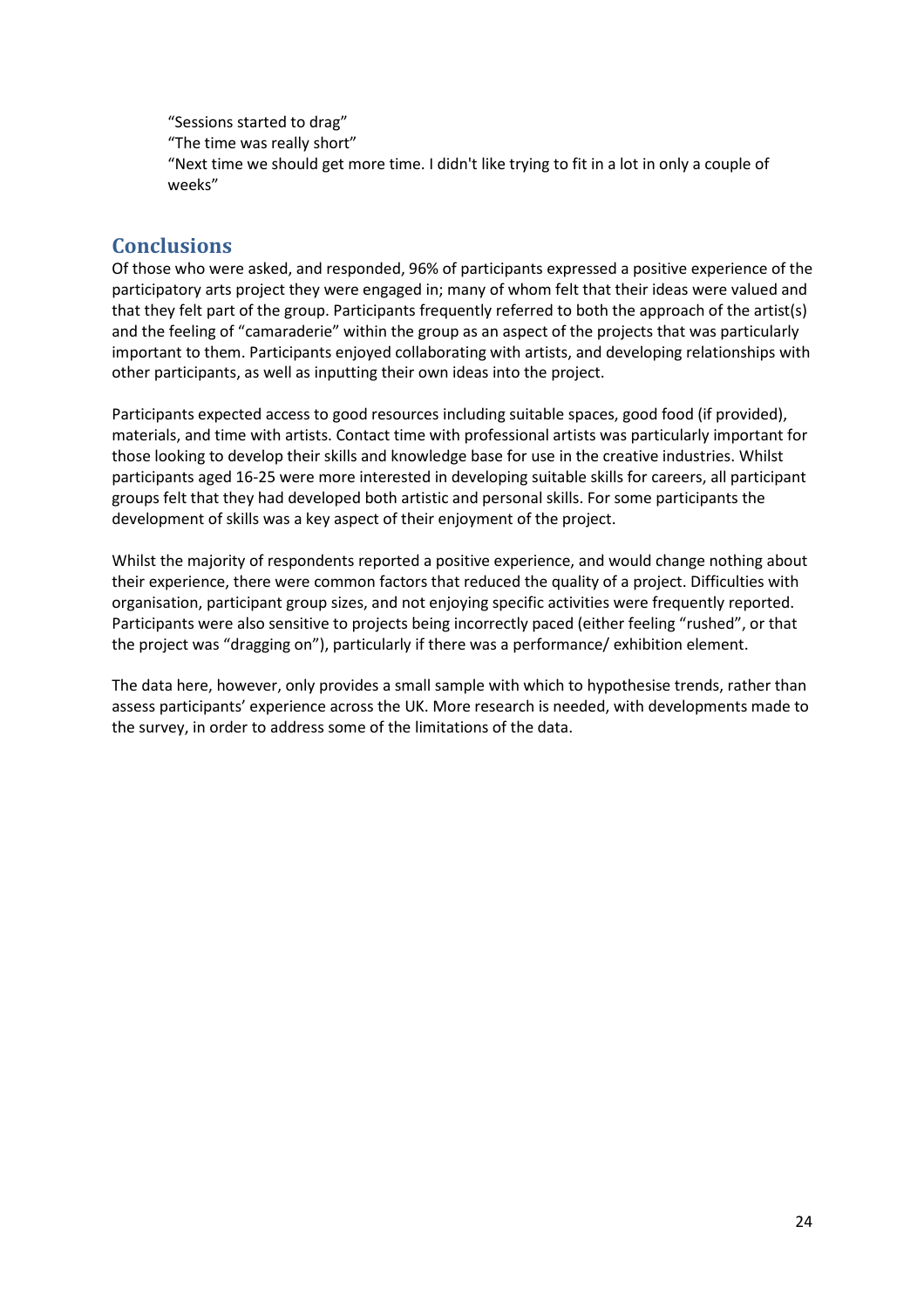"Sessions started to drag" "The time was really short" "Next time we should get more time. I didn't like trying to fit in a lot in only a couple of weeks"

#### **Conclusions**

Of those who were asked, and responded, 96% of participants expressed a positive experience of the participatory arts project they were engaged in; many of whom felt that their ideas were valued and that they felt part of the group. Participants frequently referred to both the approach of the artist(s) and the feeling of "camaraderie" within the group as an aspect of the projects that was particularly important to them. Participants enjoyed collaborating with artists, and developing relationships with other participants, as well as inputting their own ideas into the project.

Participants expected access to good resources including suitable spaces, good food (if provided), materials, and time with artists. Contact time with professional artists was particularly important for those looking to develop their skills and knowledge base for use in the creative industries. Whilst participants aged 16-25 were more interested in developing suitable skills for careers, all participant groups felt that they had developed both artistic and personal skills. For some participants the development of skills was a key aspect of their enjoyment of the project.

Whilst the majority of respondents reported a positive experience, and would change nothing about their experience, there were common factors that reduced the quality of a project. Difficulties with organisation, participant group sizes, and not enjoying specific activities were frequently reported. Participants were also sensitive to projects being incorrectly paced (either feeling "rushed", or that the project was "dragging on"), particularly if there was a performance/ exhibition element.

The data here, however, only provides a small sample with which to hypothesise trends, rather than assess participants' experience across the UK. More research is needed, with developments made to the survey, in order to address some of the limitations of the data.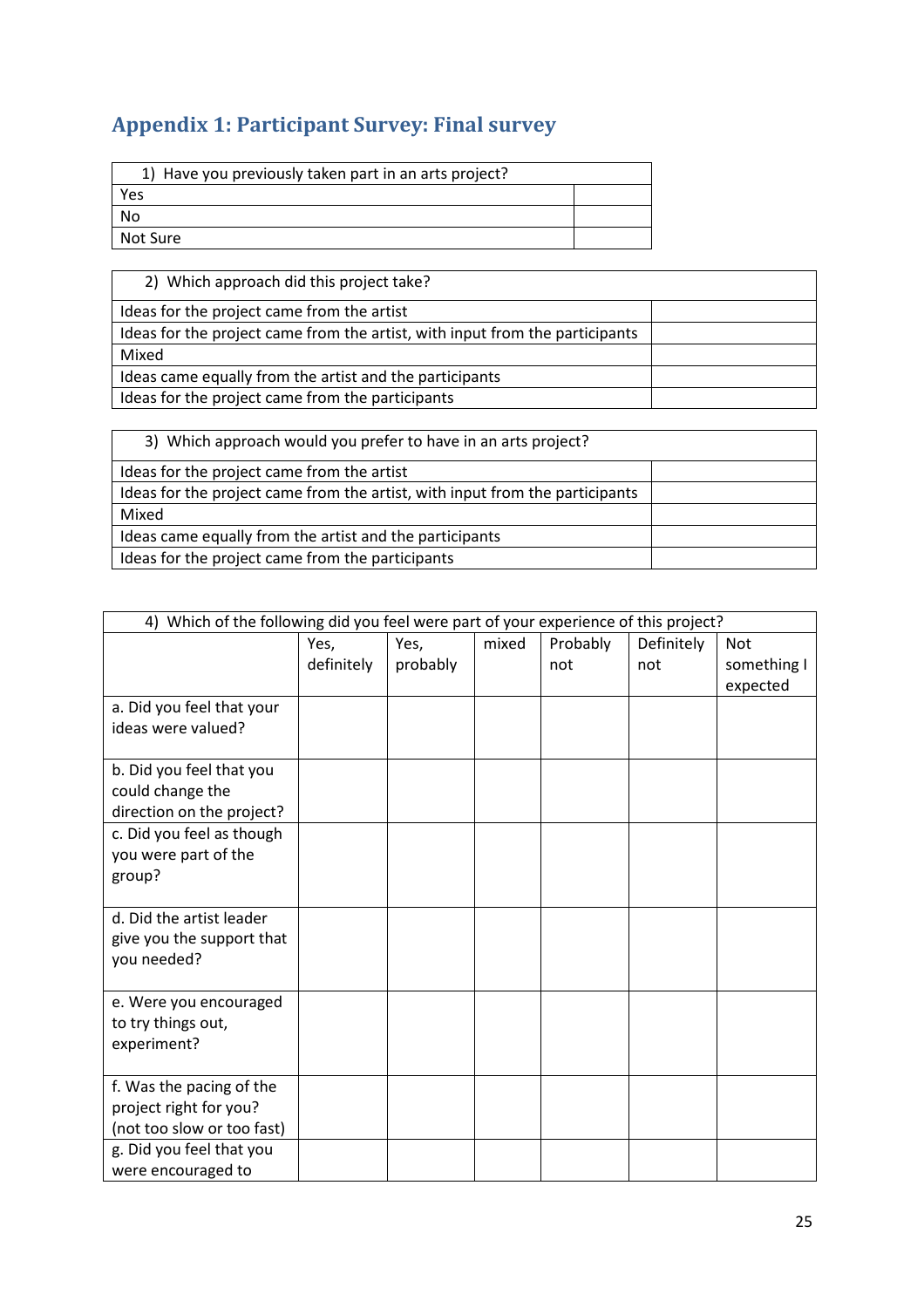# **Appendix 1: Participant Survey: Final survey**

| 1) Have you previously taken part in an arts project? |  |  |  |  |
|-------------------------------------------------------|--|--|--|--|
| Yes                                                   |  |  |  |  |
| No                                                    |  |  |  |  |
| l Not Sure                                            |  |  |  |  |

| 2) Which approach did this project take?                                     |  |
|------------------------------------------------------------------------------|--|
| Ideas for the project came from the artist                                   |  |
| Ideas for the project came from the artist, with input from the participants |  |
| Mixed                                                                        |  |
| Ideas came equally from the artist and the participants                      |  |
| Ideas for the project came from the participants                             |  |

| 3) Which approach would you prefer to have in an arts project?               |  |
|------------------------------------------------------------------------------|--|
| Ideas for the project came from the artist                                   |  |
| Ideas for the project came from the artist, with input from the participants |  |
| Mixed                                                                        |  |
| Ideas came equally from the artist and the participants                      |  |
| Ideas for the project came from the participants                             |  |

| 4) Which of the following did you feel were part of your experience of this project? |                                                               |          |  |     |     |             |
|--------------------------------------------------------------------------------------|---------------------------------------------------------------|----------|--|-----|-----|-------------|
|                                                                                      | mixed<br>Probably<br>Definitely<br>Yes,<br>Yes,<br><b>Not</b> |          |  |     |     |             |
|                                                                                      | definitely                                                    | probably |  | not | not | something I |
|                                                                                      |                                                               |          |  |     |     | expected    |
| a. Did you feel that your                                                            |                                                               |          |  |     |     |             |
| ideas were valued?                                                                   |                                                               |          |  |     |     |             |
|                                                                                      |                                                               |          |  |     |     |             |
| b. Did you feel that you                                                             |                                                               |          |  |     |     |             |
| could change the                                                                     |                                                               |          |  |     |     |             |
| direction on the project?                                                            |                                                               |          |  |     |     |             |
| c. Did you feel as though                                                            |                                                               |          |  |     |     |             |
| you were part of the                                                                 |                                                               |          |  |     |     |             |
| group?                                                                               |                                                               |          |  |     |     |             |
|                                                                                      |                                                               |          |  |     |     |             |
| d. Did the artist leader                                                             |                                                               |          |  |     |     |             |
| give you the support that                                                            |                                                               |          |  |     |     |             |
| you needed?                                                                          |                                                               |          |  |     |     |             |
|                                                                                      |                                                               |          |  |     |     |             |
| e. Were you encouraged                                                               |                                                               |          |  |     |     |             |
| to try things out,                                                                   |                                                               |          |  |     |     |             |
| experiment?                                                                          |                                                               |          |  |     |     |             |
|                                                                                      |                                                               |          |  |     |     |             |
| f. Was the pacing of the                                                             |                                                               |          |  |     |     |             |
| project right for you?                                                               |                                                               |          |  |     |     |             |
| (not too slow or too fast)                                                           |                                                               |          |  |     |     |             |
| g. Did you feel that you                                                             |                                                               |          |  |     |     |             |
| were encouraged to                                                                   |                                                               |          |  |     |     |             |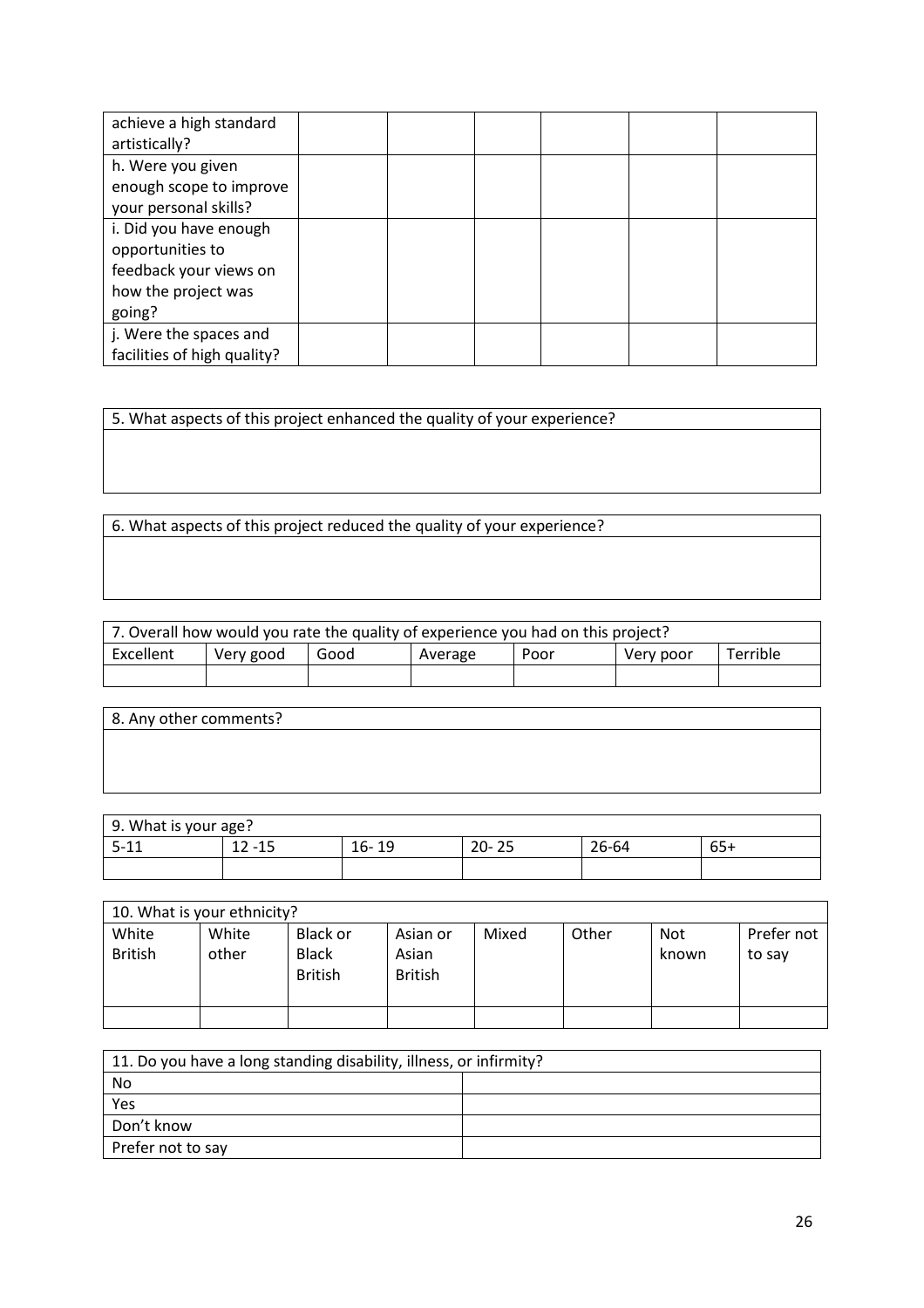| achieve a high standard<br>artistically? |  |  |  |
|------------------------------------------|--|--|--|
| h. Were you given                        |  |  |  |
| enough scope to improve                  |  |  |  |
| your personal skills?                    |  |  |  |
| i. Did you have enough                   |  |  |  |
| opportunities to                         |  |  |  |
| feedback your views on                   |  |  |  |
| how the project was                      |  |  |  |
| going?                                   |  |  |  |
| j. Were the spaces and                   |  |  |  |
| facilities of high quality?              |  |  |  |

5. What aspects of this project enhanced the quality of your experience?

6. What aspects of this project reduced the quality of your experience?

| 7. Overall how would you rate the quality of experience you had on this project? |  |  |  |  |  |  |
|----------------------------------------------------------------------------------|--|--|--|--|--|--|
| Excellent<br>Terrible<br>Good<br>Very good<br>Very poor<br>Poor<br>Average       |  |  |  |  |  |  |
|                                                                                  |  |  |  |  |  |  |

| 8. Any other comments? |  |  |
|------------------------|--|--|
|                        |  |  |
|                        |  |  |
|                        |  |  |

| 9. What is your age? |                             |           |           |       |       |  |  |
|----------------------|-----------------------------|-----------|-----------|-------|-------|--|--|
| $5 - 11$<br>∸∸       | 12<br>$\blacksquare$<br>-15 | 16-<br>19 | $20 - 25$ | 26-64 | $65+$ |  |  |
|                      |                             |           |           |       |       |  |  |

| 10. What is your ethnicity? |       |                |                |       |       |            |            |
|-----------------------------|-------|----------------|----------------|-------|-------|------------|------------|
| White                       | White | Black or       | Asian or       | Mixed | Other | <b>Not</b> | Prefer not |
| <b>British</b>              | other | <b>Black</b>   | Asian          |       |       | known      | to say     |
|                             |       | <b>British</b> | <b>British</b> |       |       |            |            |
|                             |       |                |                |       |       |            |            |
|                             |       |                |                |       |       |            |            |

| 11. Do you have a long standing disability, illness, or infirmity? |  |  |  |  |  |
|--------------------------------------------------------------------|--|--|--|--|--|
| No                                                                 |  |  |  |  |  |
| Yes                                                                |  |  |  |  |  |
| Don't know                                                         |  |  |  |  |  |
| Prefer not to say                                                  |  |  |  |  |  |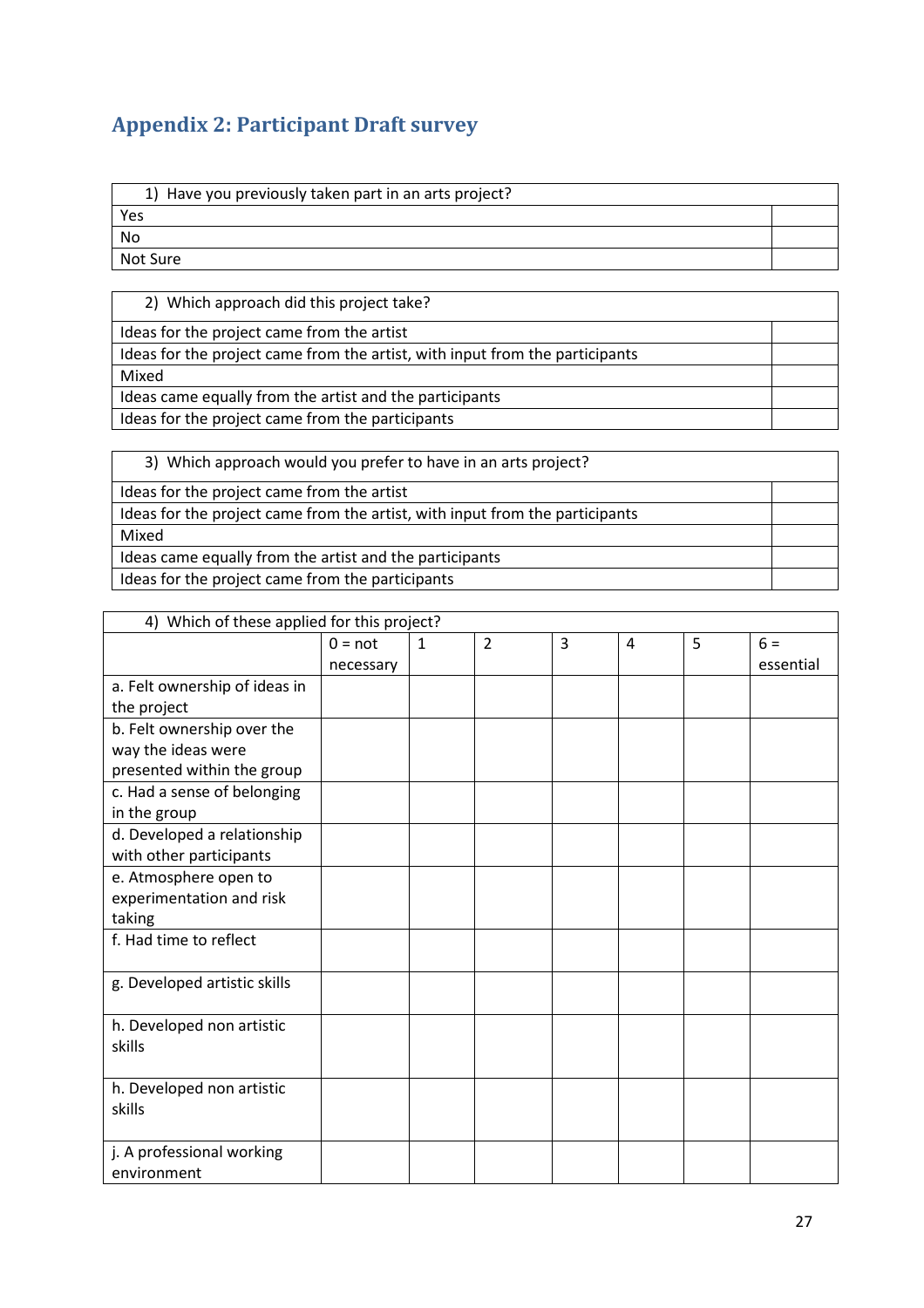# **Appendix 2: Participant Draft survey**

| 1) Have you previously taken part in an arts project? |
|-------------------------------------------------------|
|-------------------------------------------------------|

Yes

No Not Sure

2) Which approach did this project take?

Ideas for the project came from the artist

Ideas for the project came from the artist, with input from the participants

Mixed

Ideas came equally from the artist and the participants

Ideas for the project came from the participants

3) Which approach would you prefer to have in an arts project?

Ideas for the project came from the artist

Ideas for the project came from the artist, with input from the participants Mixed Ideas came equally from the artist and the participants

Ideas for the project came from the participants

| 4) Which of these applied for this project? |           |              |                |   |   |   |           |
|---------------------------------------------|-----------|--------------|----------------|---|---|---|-----------|
|                                             | $0 = not$ | $\mathbf{1}$ | $\overline{2}$ | 3 | 4 | 5 | $6 =$     |
|                                             | necessary |              |                |   |   |   | essential |
| a. Felt ownership of ideas in               |           |              |                |   |   |   |           |
| the project                                 |           |              |                |   |   |   |           |
| b. Felt ownership over the                  |           |              |                |   |   |   |           |
| way the ideas were                          |           |              |                |   |   |   |           |
| presented within the group                  |           |              |                |   |   |   |           |
| c. Had a sense of belonging                 |           |              |                |   |   |   |           |
| in the group                                |           |              |                |   |   |   |           |
| d. Developed a relationship                 |           |              |                |   |   |   |           |
| with other participants                     |           |              |                |   |   |   |           |
| e. Atmosphere open to                       |           |              |                |   |   |   |           |
| experimentation and risk                    |           |              |                |   |   |   |           |
| taking                                      |           |              |                |   |   |   |           |
| f. Had time to reflect                      |           |              |                |   |   |   |           |
| g. Developed artistic skills                |           |              |                |   |   |   |           |
|                                             |           |              |                |   |   |   |           |
| h. Developed non artistic                   |           |              |                |   |   |   |           |
| skills                                      |           |              |                |   |   |   |           |
| h. Developed non artistic                   |           |              |                |   |   |   |           |
| skills                                      |           |              |                |   |   |   |           |
|                                             |           |              |                |   |   |   |           |
| j. A professional working                   |           |              |                |   |   |   |           |
| environment                                 |           |              |                |   |   |   |           |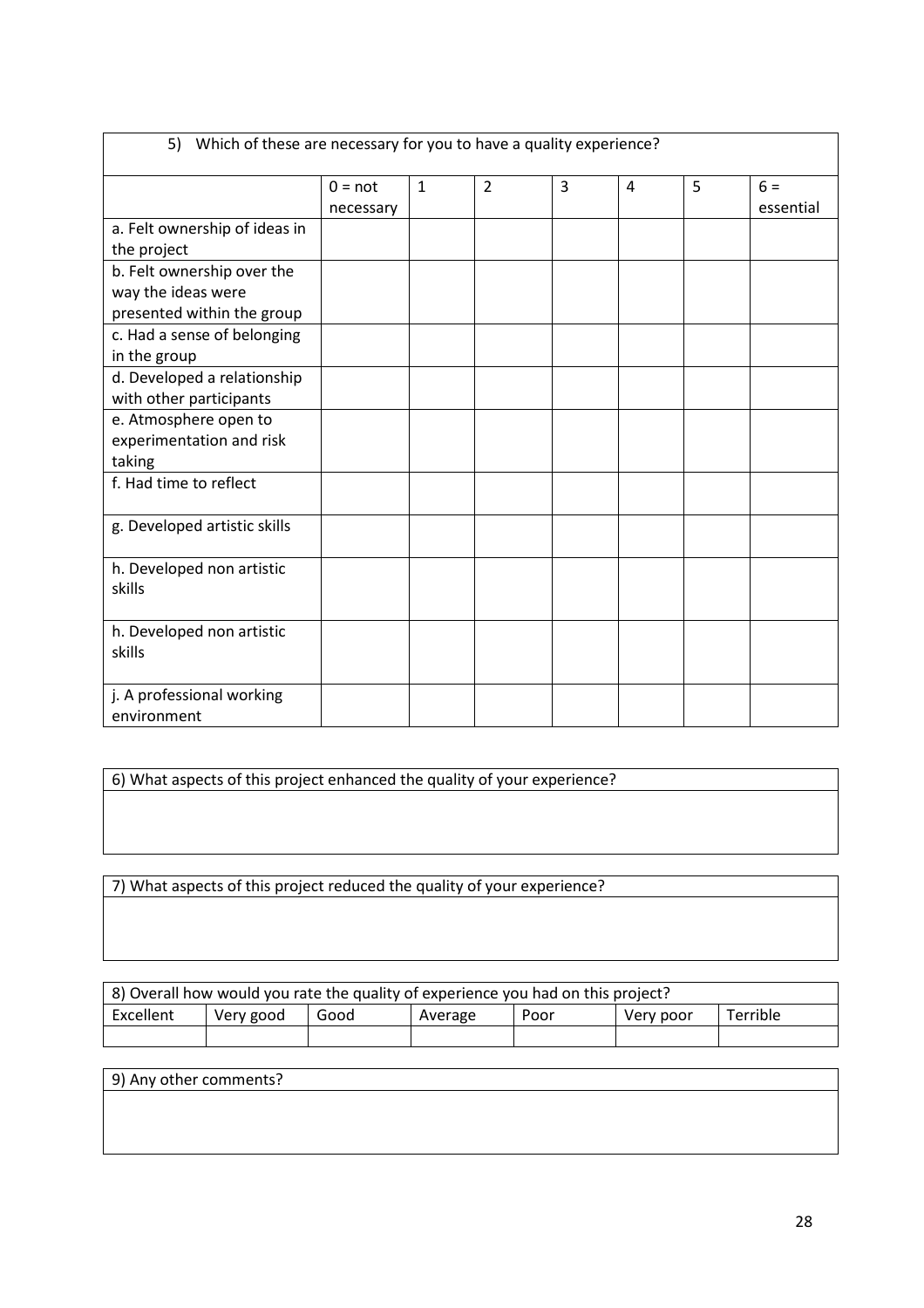| 5) Which of these are necessary for you to have a quality experience? |           |              |                |   |                |   |           |
|-----------------------------------------------------------------------|-----------|--------------|----------------|---|----------------|---|-----------|
|                                                                       | $0 = not$ | $\mathbf{1}$ | $\overline{2}$ | 3 | $\overline{4}$ | 5 | $6 =$     |
|                                                                       | necessary |              |                |   |                |   | essential |
| a. Felt ownership of ideas in                                         |           |              |                |   |                |   |           |
| the project                                                           |           |              |                |   |                |   |           |
| b. Felt ownership over the                                            |           |              |                |   |                |   |           |
| way the ideas were                                                    |           |              |                |   |                |   |           |
| presented within the group                                            |           |              |                |   |                |   |           |
| c. Had a sense of belonging                                           |           |              |                |   |                |   |           |
| in the group                                                          |           |              |                |   |                |   |           |
| d. Developed a relationship                                           |           |              |                |   |                |   |           |
| with other participants                                               |           |              |                |   |                |   |           |
| e. Atmosphere open to                                                 |           |              |                |   |                |   |           |
| experimentation and risk                                              |           |              |                |   |                |   |           |
| taking                                                                |           |              |                |   |                |   |           |
| f. Had time to reflect                                                |           |              |                |   |                |   |           |
| g. Developed artistic skills                                          |           |              |                |   |                |   |           |
| h. Developed non artistic<br>skills                                   |           |              |                |   |                |   |           |
| h. Developed non artistic<br>skills                                   |           |              |                |   |                |   |           |
| j. A professional working<br>environment                              |           |              |                |   |                |   |           |

6) What aspects of this project enhanced the quality of your experience?

7) What aspects of this project reduced the quality of your experience?

| 8) Overall how would you rate the quality of experience you had on this project? |           |      |         |      |           |          |  |
|----------------------------------------------------------------------------------|-----------|------|---------|------|-----------|----------|--|
| Excellent                                                                        | Very good | Good | Average | Poor | Very poor | Terrible |  |
|                                                                                  |           |      |         |      |           |          |  |

| 9) Any other comments? |  |  |
|------------------------|--|--|
|                        |  |  |
|                        |  |  |
|                        |  |  |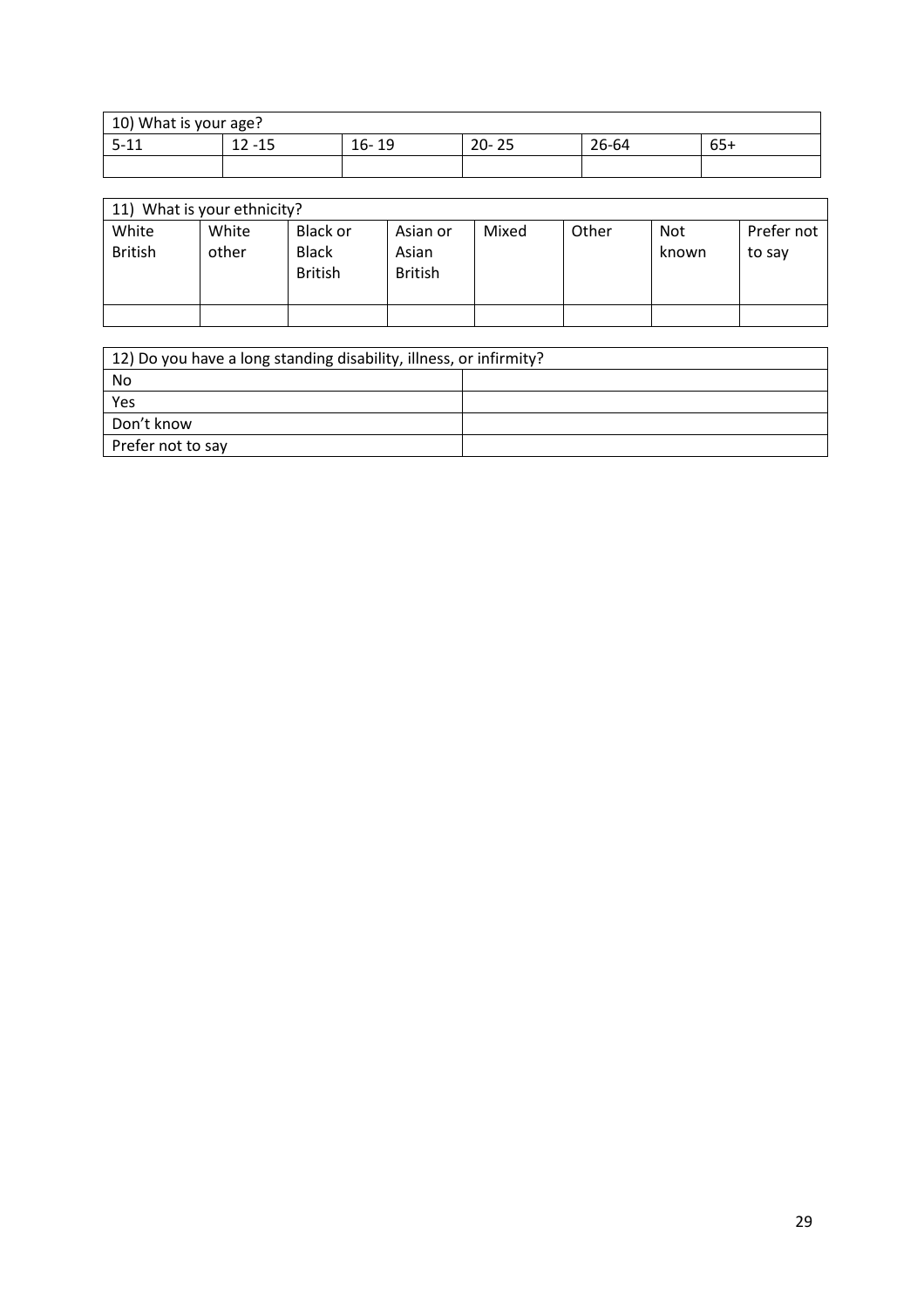| 10) What is your age? |                  |             |                         |       |                      |  |  |
|-----------------------|------------------|-------------|-------------------------|-------|----------------------|--|--|
| F 11<br>D-<br>∸∸      | 12<br>1 F<br>-15 | $16-$<br>19 | ີ<br>ົາດ<br>25<br>– ∠U- | 26-64 | $\sim$ $\sim$<br>654 |  |  |
|                       |                  |             |                         |       |                      |  |  |

| 11) What is your ethnicity? |                         |                |                                            |                                     |       |       |              |                      |
|-----------------------------|-------------------------|----------------|--------------------------------------------|-------------------------------------|-------|-------|--------------|----------------------|
|                             | White<br><b>British</b> | White<br>other | Black or<br><b>Black</b><br><b>British</b> | Asian or<br>Asian<br><b>British</b> | Mixed | Other | Not<br>known | Prefer not<br>to say |
|                             |                         |                |                                            |                                     |       |       |              |                      |

| 12) Do you have a long standing disability, illness, or infirmity? |  |  |  |  |  |
|--------------------------------------------------------------------|--|--|--|--|--|
| No                                                                 |  |  |  |  |  |
| Yes                                                                |  |  |  |  |  |
| Don't know                                                         |  |  |  |  |  |
| Prefer not to say                                                  |  |  |  |  |  |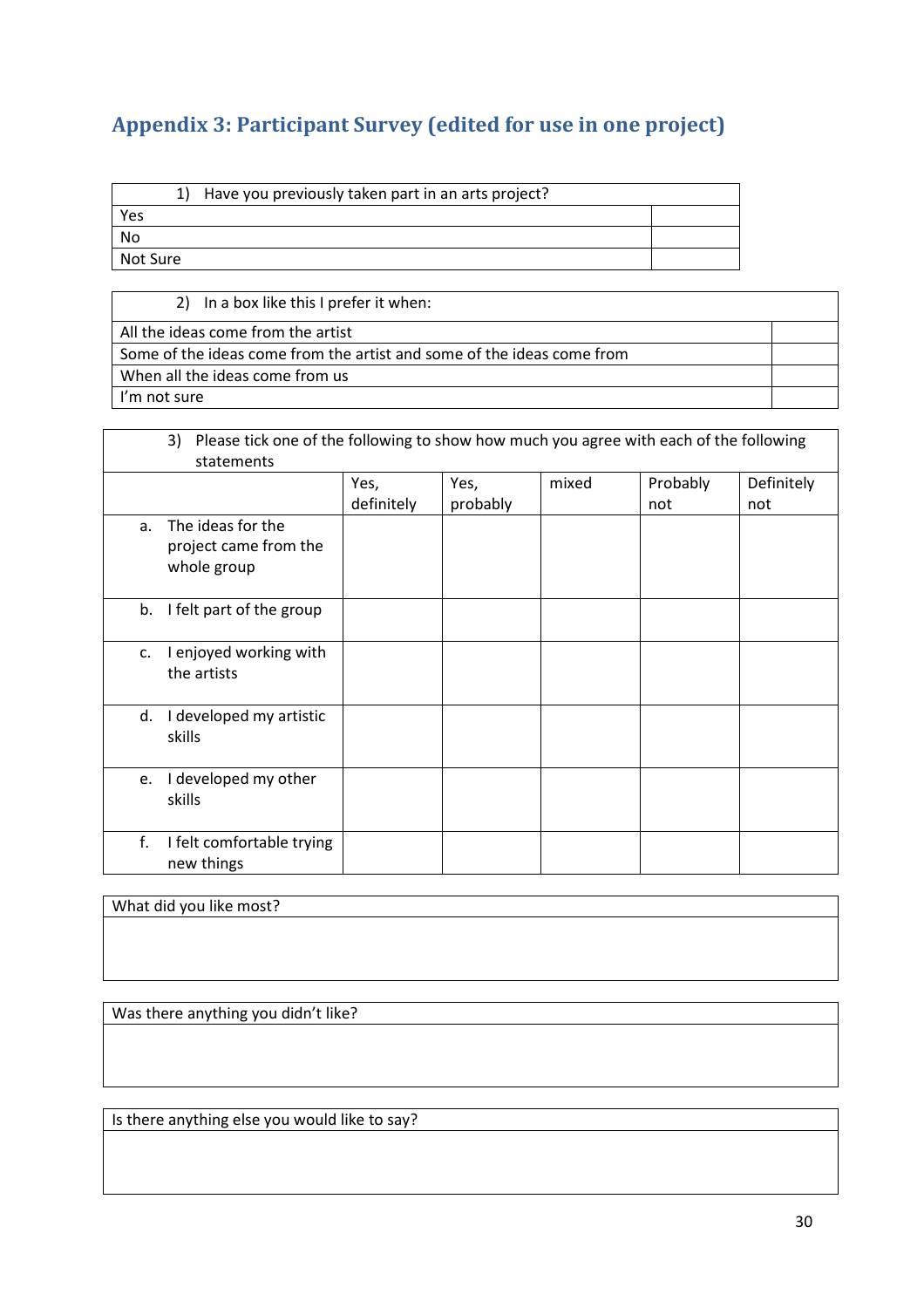# **Appendix 3: Participant Survey (edited for use in one project)**

|          | 1) Have you previously taken part in an arts project? |  |
|----------|-------------------------------------------------------|--|
| Yes      |                                                       |  |
| No       |                                                       |  |
| Not Sure |                                                       |  |
|          |                                                       |  |

2) In a box like this I prefer it when:

All the ideas come from the artist Some of the ideas come from the artist and some of the ideas come from When all the ideas come from us I'm not sure

|    | Please tick one of the following to show how much you agree with each of the following<br>3)<br>statements |                    |                  |       |                 |                   |
|----|------------------------------------------------------------------------------------------------------------|--------------------|------------------|-------|-----------------|-------------------|
|    |                                                                                                            | Yes,<br>definitely | Yes,<br>probably | mixed | Probably<br>not | Definitely<br>not |
| a. | The ideas for the<br>project came from the<br>whole group                                                  |                    |                  |       |                 |                   |
| b. | I felt part of the group                                                                                   |                    |                  |       |                 |                   |
| c. | I enjoyed working with<br>the artists                                                                      |                    |                  |       |                 |                   |
| d. | I developed my artistic<br>skills                                                                          |                    |                  |       |                 |                   |
| e. | I developed my other<br>skills                                                                             |                    |                  |       |                 |                   |
| f. | I felt comfortable trying<br>new things                                                                    |                    |                  |       |                 |                   |

What did you like most?

Was there anything you didn't like?

Is there anything else you would like to say?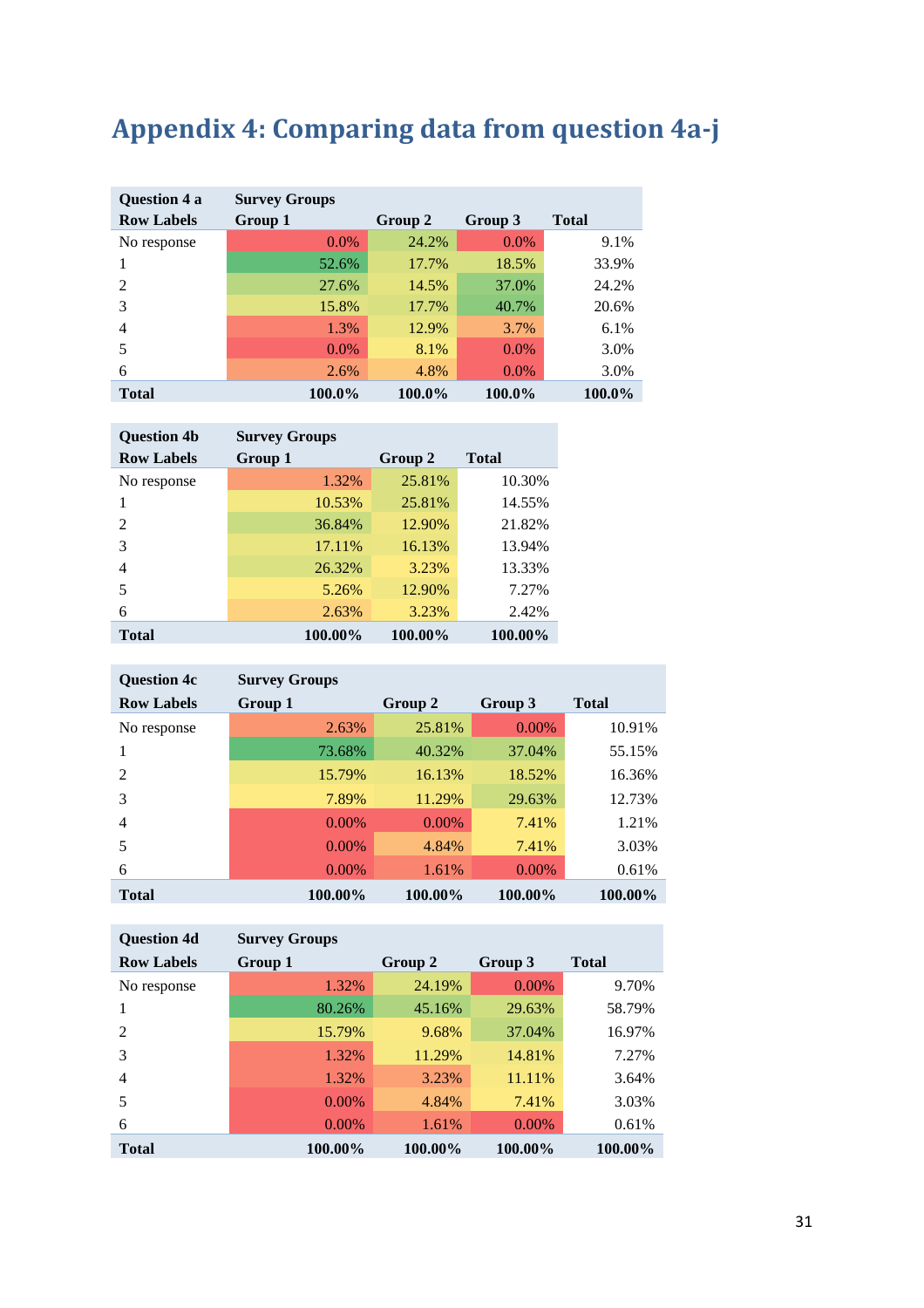# **Appendix 4: Comparing data from question 4a-j**

| Question 4 a      | <b>Survey Groups</b> |         |         |              |
|-------------------|----------------------|---------|---------|--------------|
| <b>Row Labels</b> | Group 1              | Group 2 | Group 3 | <b>Total</b> |
| No response       | $0.0\%$              | 24.2%   | $0.0\%$ | 9.1%         |
|                   | 52.6%                | 17.7%   | 18.5%   | 33.9%        |
| $\mathfrak{D}$    | 27.6%                | 14.5%   | 37.0%   | 24.2%        |
| 3                 | 15.8%                | 17.7%   | 40.7%   | 20.6%        |
| 4                 | 1.3%                 | 12.9%   | 3.7%    | 6.1%         |
| 5                 | $0.0\%$              | 8.1%    | $0.0\%$ | 3.0%         |
| 6                 | 2.6%                 | 4.8%    | $0.0\%$ | 3.0%         |
| <b>Total</b>      | 100.0%               | 100.0%  | 100.0%  | 100.0%       |

| <b>Question 4b</b> | <b>Survey Groups</b> |         |              |
|--------------------|----------------------|---------|--------------|
| <b>Row Labels</b>  | Group 1              | Group 2 | <b>Total</b> |
| No response        | 1.32%                | 25.81%  | 10.30%       |
|                    | 10.53%               | 25.81%  | 14.55%       |
| 2                  | 36.84%               | 12.90%  | 21.82%       |
| 3                  | 17.11%               | 16.13%  | 13.94%       |
| 4                  | 26.32%               | 3.23%   | 13.33%       |
| 5                  | 5.26%                | 12.90%  | 7.27%        |
| 6                  | 2.63%                | 3.23%   | 2.42%        |
| <b>Total</b>       | 100.00%              | 100.00% | 100.00%      |

| <b>Question 4c</b> | <b>Survey Groups</b> |          |          |              |
|--------------------|----------------------|----------|----------|--------------|
| <b>Row Labels</b>  | Group 1              | Group 2  | Group 3  | <b>Total</b> |
| No response        | 2.63%                | 25.81%   | $0.00\%$ | 10.91%       |
|                    | 73.68%               | 40.32%   | 37.04%   | 55.15%       |
| 2                  | 15.79%               | 16.13%   | 18.52%   | 16.36%       |
| 3                  | 7.89%                | 11.29%   | 29.63%   | 12.73%       |
| 4                  | 0.00%                | $0.00\%$ | 7.41%    | 1.21%        |
| 5                  | $0.00\%$             | 4.84%    | 7.41%    | 3.03%        |
| 6                  | $0.00\%$             | 1.61%    | $0.00\%$ | 0.61%        |
| <b>Total</b>       | 100.00%              | 100.00%  | 100.00%  | 100.00%      |

| <b>Question 4d</b> | <b>Survey Groups</b> |         |          |              |  |  |  |
|--------------------|----------------------|---------|----------|--------------|--|--|--|
| <b>Row Labels</b>  | Group 1              | Group 2 | Group 3  | <b>Total</b> |  |  |  |
| No response        | 1.32%                | 24.19%  | 0.00%    | 9.70%        |  |  |  |
|                    | 80.26%               | 45.16%  | 29.63%   | 58.79%       |  |  |  |
| 2                  | 15.79%               | 9.68%   | 37.04%   | 16.97%       |  |  |  |
| 3                  | 1.32%                | 11.29%  | 14.81%   | 7.27%        |  |  |  |
| 4                  | 1.32%                | 3.23%   | 11.11%   | 3.64%        |  |  |  |
| 5                  | $0.00\%$             | 4.84%   | 7.41%    | 3.03%        |  |  |  |
| 6                  | $0.00\%$             | 1.61%   | $0.00\%$ | 0.61%        |  |  |  |
| <b>Total</b>       | 100.00%              | 100.00% | 100.00%  | 100.00%      |  |  |  |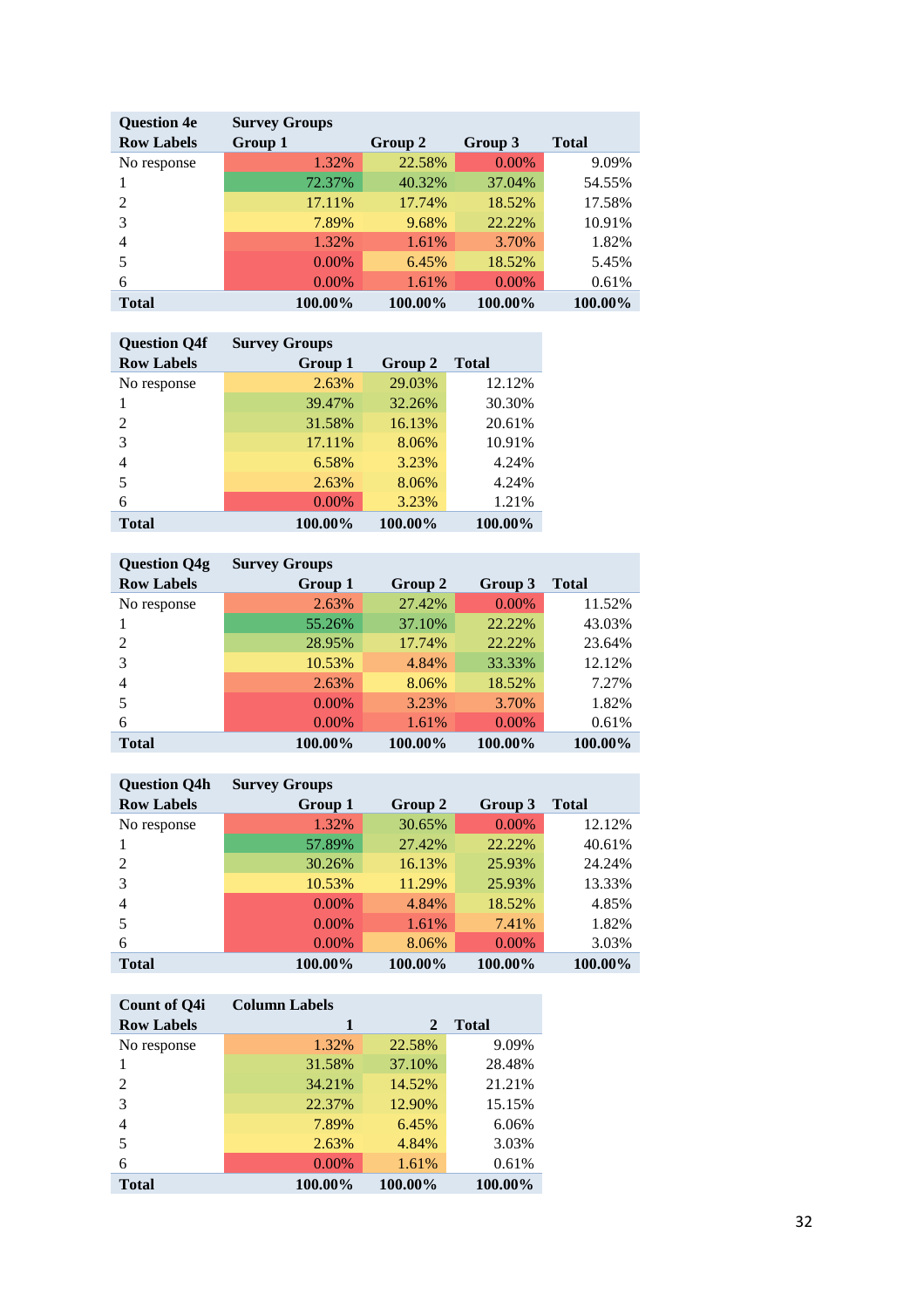| <b>Question 4e</b> | <b>Survey Groups</b> |         |          |              |
|--------------------|----------------------|---------|----------|--------------|
| <b>Row Labels</b>  | Group 1              | Group 2 | Group 3  | <b>Total</b> |
| No response        | 1.32%                | 22.58%  | $0.00\%$ | 9.09%        |
|                    | 72.37%               | 40.32%  | 37.04%   | 54.55%       |
| $\mathfrak{D}$     | 17.11%               | 17.74%  | 18.52%   | 17.58%       |
| 3                  | 7.89%                | 9.68%   | 22.22%   | 10.91%       |
| 4                  | 1.32%                | 1.61%   | 3.70%    | 1.82%        |
| 5                  | 0.00%                | 6.45%   | 18.52%   | 5.45%        |
| 6                  | 0.00%                | 1.61%   | $0.00\%$ | 0.61%        |
| <b>Total</b>       | 100.00%              | 100.00% | 100.00%  | 100.00%      |

| <b>Ouestion O4f</b> | <b>Survey Groups</b> |         |         |
|---------------------|----------------------|---------|---------|
| <b>Row Labels</b>   | Group 1              | Group 2 | Total   |
| No response         | 2.63%                | 29.03%  | 12.12%  |
|                     | 39.47%               | 32.26%  | 30.30%  |
| $\mathfrak{D}$      | 31.58%               | 16.13%  | 20.61%  |
| 3                   | 17.11%               | 8.06%   | 10.91%  |
| 4                   | 6.58%                | 3.23%   | 4.24%   |
| 5                   | 2.63%                | 8.06%   | 4.24%   |
| 6                   | 0.00%                | 3.23%   | 1.21%   |
| Total               | 100.00%              | 100.00% | 100.00% |

| <b>Question Q4g</b> | <b>Survey Groups</b> |         |          |         |
|---------------------|----------------------|---------|----------|---------|
| <b>Row Labels</b>   | Group 1              | Group 2 | Group 3  | Total   |
| No response         | 2.63%                | 27.42%  | $0.00\%$ | 11.52%  |
|                     | 55.26%               | 37.10%  | 22.22%   | 43.03%  |
| $\mathfrak{D}$      | 28.95%               | 17.74%  | 22.22%   | 23.64%  |
| 3                   | 10.53%               | 4.84%   | 33.33%   | 12.12%  |
| 4                   | 2.63%                | 8.06%   | 18.52%   | 7.27%   |
| 5                   | $0.00\%$             | 3.23%   | 3.70%    | 1.82%   |
| 6                   | 0.00%                | 1.61%   | $0.00\%$ | 0.61%   |
| <b>Total</b>        | 100.00%              | 100.00% | 100.00%  | 100.00% |

| <b>Question Q4h</b>         | <b>Survey Groups</b> |         |         |              |
|-----------------------------|----------------------|---------|---------|--------------|
| <b>Row Labels</b>           | Group 1              | Group 2 | Group 3 | <b>Total</b> |
| No response                 | 1.32%                | 30.65%  | 0.00%   | 12.12%       |
|                             | 57.89%               | 27.42%  | 22.22%  | 40.61%       |
| $\mathcal{D}_{\mathcal{L}}$ | 30.26%               | 16.13%  | 25.93%  | 24.24%       |
| 3                           | 10.53%               | 11.29%  | 25.93%  | 13.33%       |
| 4                           | $0.00\%$             | 4.84%   | 18.52%  | 4.85%        |
| 5                           | 0.00%                | 1.61%   | 7.41%   | 1.82%        |
| 6                           | 0.00%                | 8.06%   | 0.00%   | 3.03%        |
| <b>Total</b>                | 100.00%              | 100.00% | 100.00% | 100.00%      |

| <b>Count of O4i</b> | <b>Column Labels</b> |              |              |
|---------------------|----------------------|--------------|--------------|
| <b>Row Labels</b>   | 1                    | $\mathbf{2}$ | <b>Total</b> |
| No response         | 1.32%                | 22.58%       | 9.09%        |
|                     | 31.58%               | 37.10%       | 28.48%       |
| $\mathfrak{D}$      | 34.21%               | 14.52%       | 21.21%       |
| 3                   | 22.37%               | 12.90%       | 15.15%       |
| 4                   | 7.89%                | 6.45%        | 6.06%        |
| 5                   | 2.63%                | 4.84%        | 3.03%        |
| 6                   | $0.00\%$             | 1.61%        | 0.61%        |
| Total               | 100.00%              | 100.00%      | 100.00%      |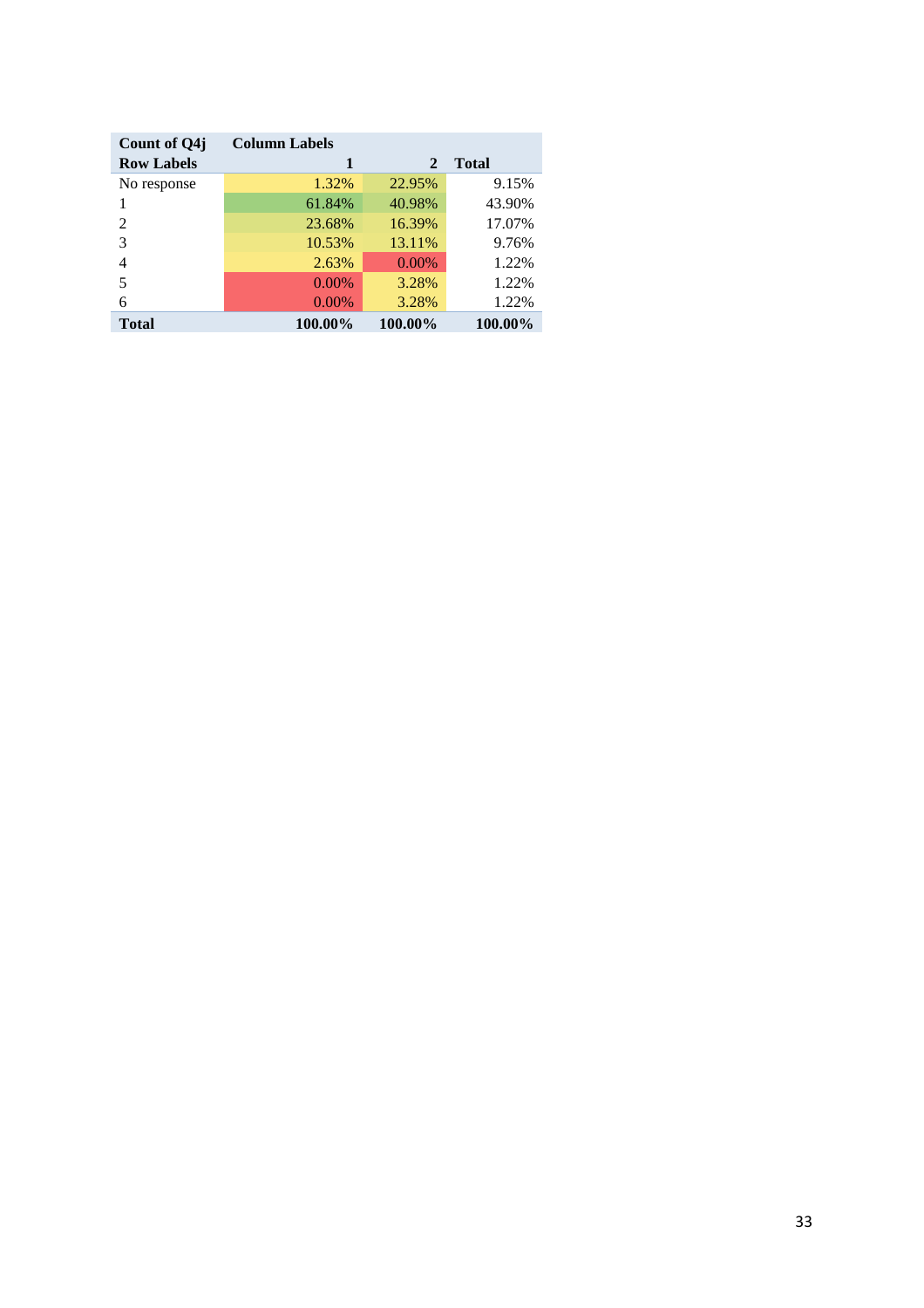| Count of Q4j      | <b>Column Labels</b> |              |              |
|-------------------|----------------------|--------------|--------------|
| <b>Row Labels</b> |                      | $\mathbf{2}$ | <b>Total</b> |
| No response       | 1.32%                | 22.95%       | 9.15%        |
|                   | 61.84%               | 40.98%       | 43.90%       |
| 2                 | 23.68%               | 16.39%       | 17.07%       |
| 3                 | 10.53%               | 13.11%       | 9.76%        |
| 4                 | 2.63%                | $0.00\%$     | 1.22%        |
| 5                 | $0.00\%$             | 3.28%        | 1.22%        |
| 6                 | 0.00%                | 3.28%        | 1.22%        |
| <b>Total</b>      | 100.00%              | 100.00%      | 100.00%      |